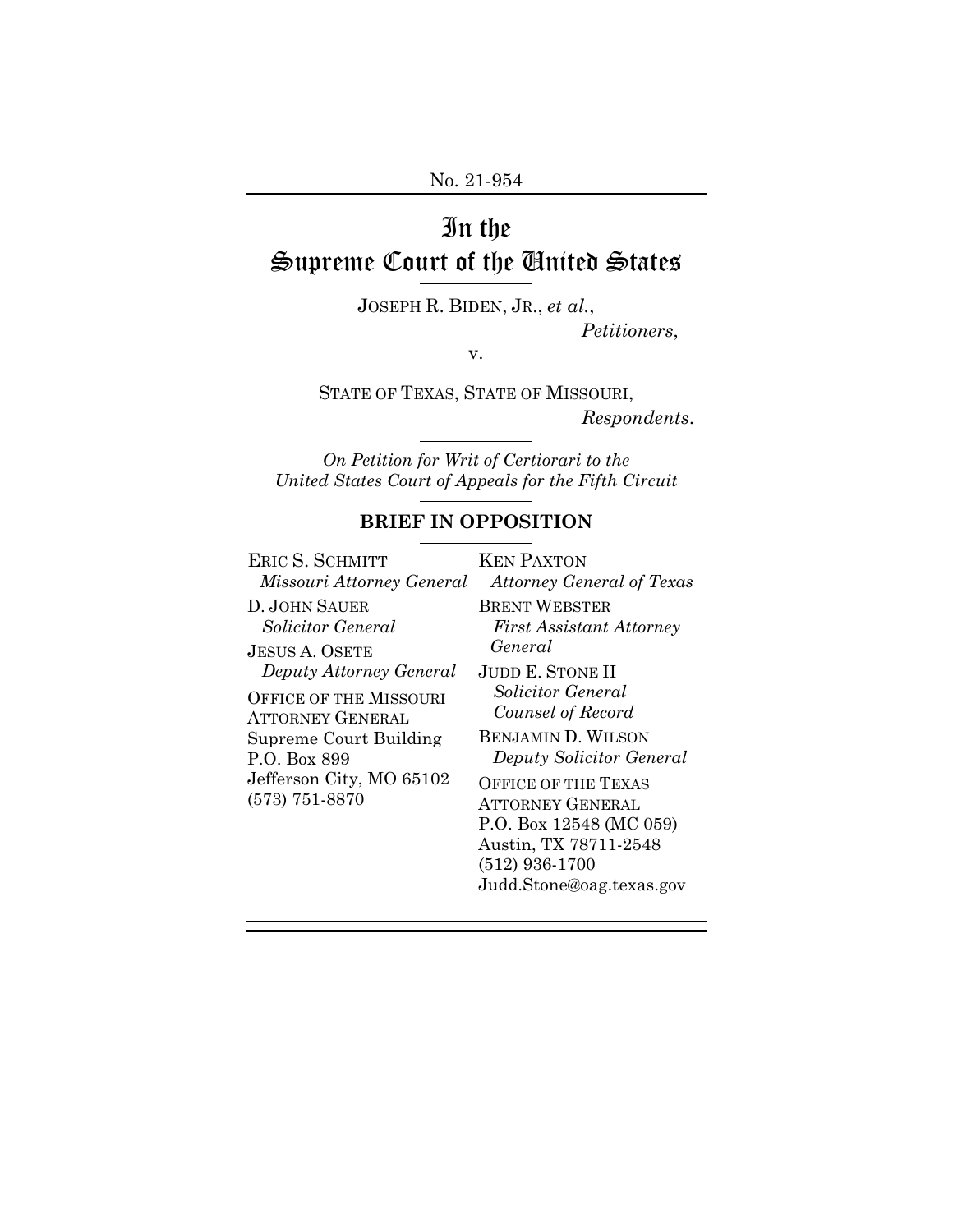# In the Supreme Court of the United States

JOSEPH R. BIDEN, JR., *et al.*,

*Petitioners*,

v.

STATE OF TEXAS, STATE OF MISSOURI, *Respondents*.

*On Petition for Writ of Certiorari to the United States Court of Appeals for the Fifth Circuit* 

## **BRIEF IN OPPOSITION**

| ERIC S. SCHMITT               | <b>KEN PAXTON</b>                |
|-------------------------------|----------------------------------|
| Missouri Attorney General     | <b>Attorney General of Texas</b> |
| D. JOHN SAUER                 | <b>BRENT WEBSTER</b>             |
| Solicitor General             | <b>First Assistant Attorney</b>  |
| <b>JESUS A. OSETE</b>         | General                          |
| Deputy Attorney General       | <b>JUDD E. STONE II</b>          |
| <b>OFFICE OF THE MISSOURI</b> | <i>Solicitor General</i>         |
| <b>ATTORNEY GENERAL</b>       | Counsel of Record                |
| Supreme Court Building        | <b>BENJAMIN D. WILSON</b>        |
| P.O. Box 899                  | Deputy Solicitor General         |
| Jefferson City, MO 65102      | <b>OFFICE OF THE TEXAS</b>       |
| $(573) 751 - 8870$            | ATTORNEY GENERAL                 |
|                               | P.O. Box 12548 (MC 059)          |
|                               | Austin, TX 78711-2548            |
|                               | $(512)$ 936-1700                 |
|                               | Judd.Stone@oag.texas.gov         |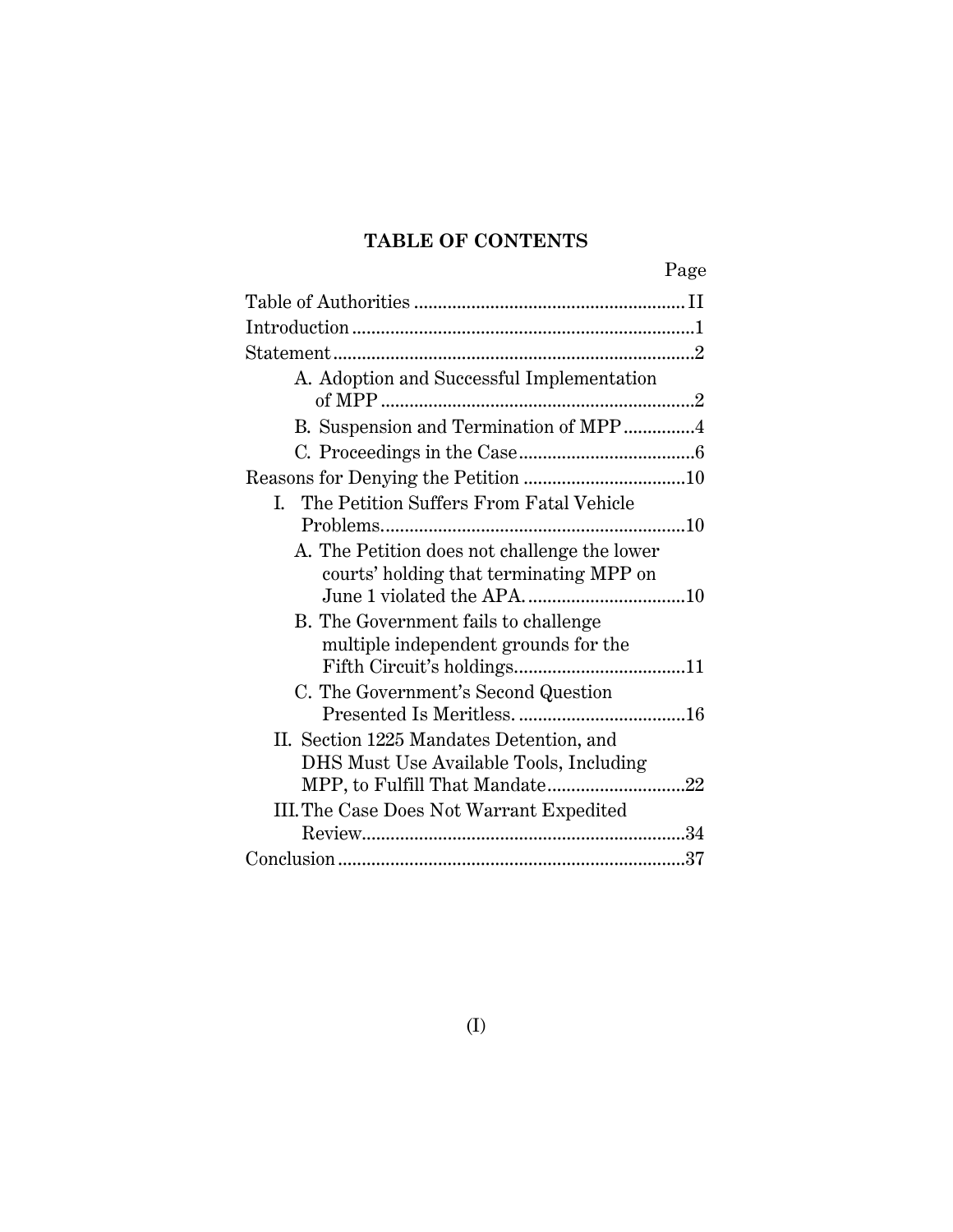# **TABLE OF CONTENTS**

|--|

| A. Adoption and Successful Implementation                                               |  |  |
|-----------------------------------------------------------------------------------------|--|--|
| B. Suspension and Termination of MPP4                                                   |  |  |
|                                                                                         |  |  |
|                                                                                         |  |  |
| I. The Petition Suffers From Fatal Vehicle                                              |  |  |
|                                                                                         |  |  |
| A. The Petition does not challenge the lower<br>courts' holding that terminating MPP on |  |  |
| B. The Government fails to challenge<br>multiple independent grounds for the            |  |  |
| C. The Government's Second Question                                                     |  |  |
|                                                                                         |  |  |
| II. Section 1225 Mandates Detention, and<br>DHS Must Use Available Tools, Including     |  |  |
| III. The Case Does Not Warrant Expedited                                                |  |  |
|                                                                                         |  |  |
|                                                                                         |  |  |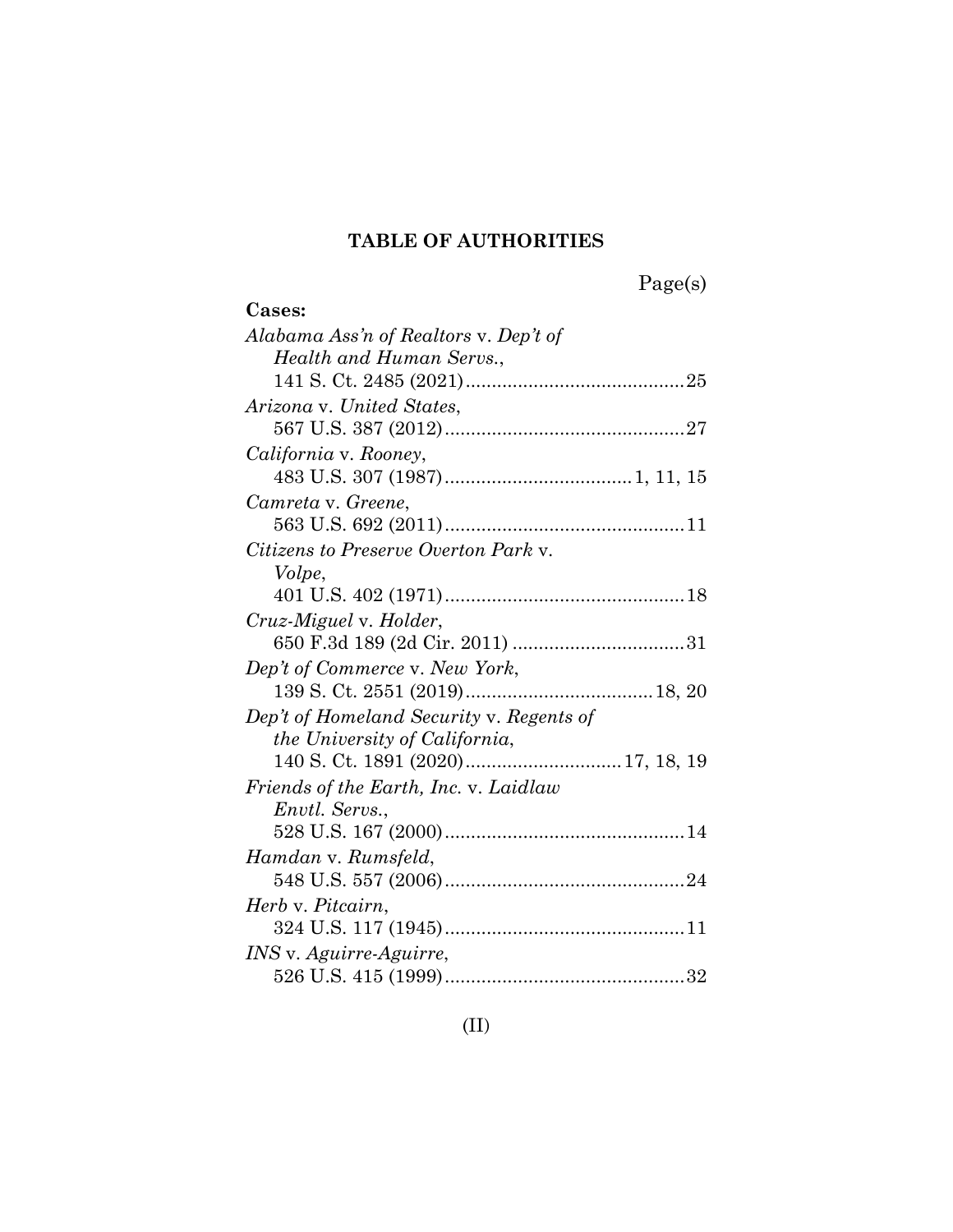# **TABLE OF AUTHORITIES**

| per<br>s<br>А |  |
|---------------|--|
|               |  |

| Cases:                                   |
|------------------------------------------|
| Alabama Ass'n of Realtors v. Dep't of    |
| Health and Human Servs.,                 |
|                                          |
| Arizona v. United States,                |
|                                          |
| California v. Rooney,                    |
|                                          |
| Camreta v. Greene,                       |
|                                          |
| Citizens to Preserve Overton Park y.     |
| Volpe,                                   |
|                                          |
| Cruz-Miguel v. Holder,                   |
|                                          |
| Dep't of Commerce v. New York,           |
|                                          |
| Dep't of Homeland Security v. Regents of |
| <i>the University of California,</i>     |
|                                          |
| Friends of the Earth, Inc. v. Laidlaw    |
| Envtl. Servs.,                           |
|                                          |
| Hamdan v. Rumsfeld,                      |
|                                          |
| Herb v. Pitcairn,                        |
|                                          |
| INS v. Aguirre-Aguirre,                  |
|                                          |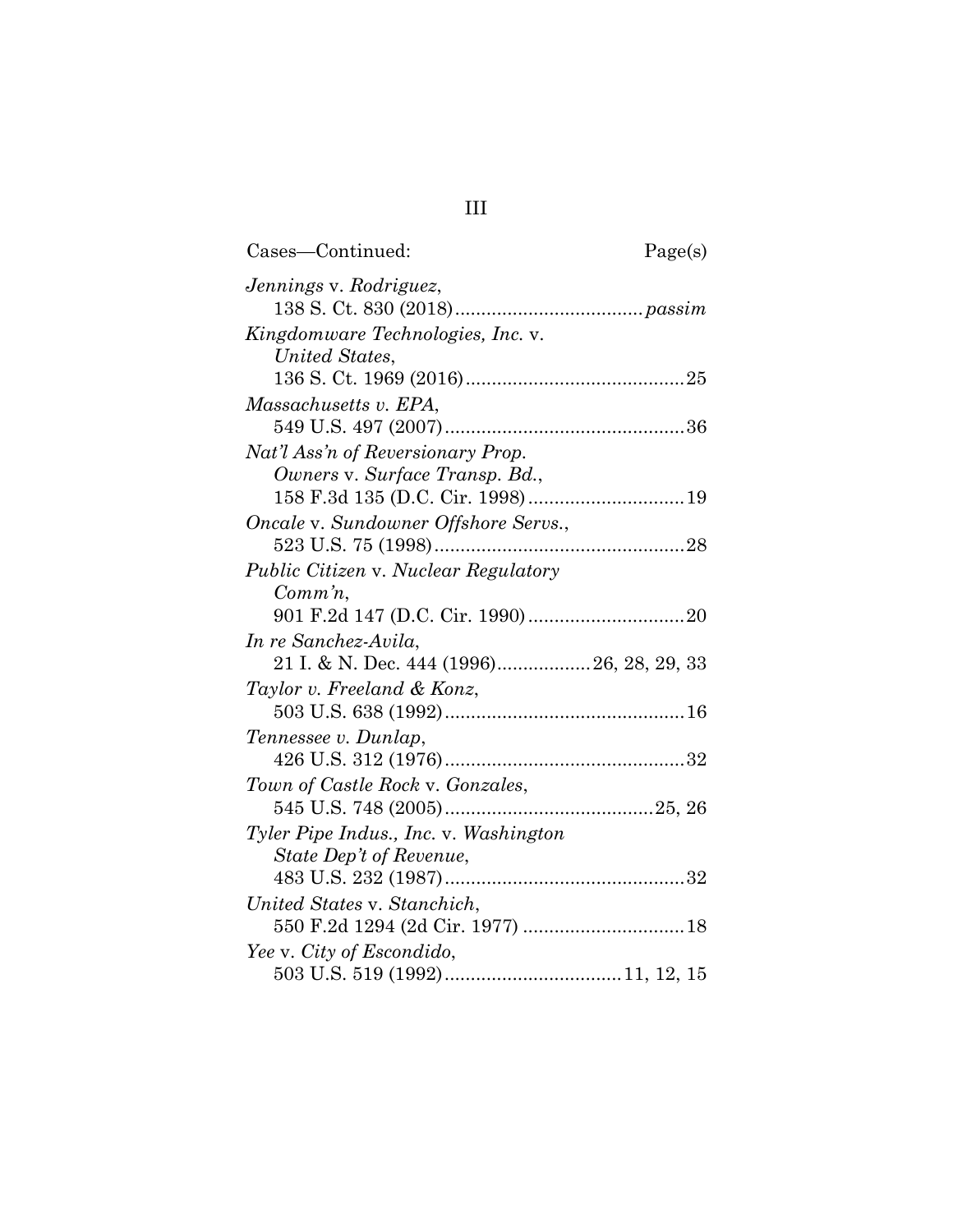| Cases-Continued:                                                    | Page(s) |
|---------------------------------------------------------------------|---------|
| Jennings v. Rodriguez,                                              |         |
| Kingdomware Technologies, Inc. v.                                   |         |
| United States,                                                      |         |
|                                                                     |         |
| Massachusetts v. EPA,                                               |         |
|                                                                     |         |
| Nat'l Ass'n of Reversionary Prop.<br>Owners v. Surface Transp. Bd., |         |
| 158 F.3d 135 (D.C. Cir. 1998) 19                                    |         |
| Oncale v. Sundowner Offshore Servs.,                                |         |
|                                                                     |         |
| Public Citizen v. Nuclear Regulatory                                |         |
| $Comm\,n$ ,                                                         |         |
|                                                                     |         |
| In re Sanchez-Avila,                                                |         |
| 21 I. & N. Dec. 444 (1996) 26, 28, 29, 33                           |         |
| Taylor v. Freeland & Konz,                                          |         |
|                                                                     |         |
| Tennessee v. Dunlap,                                                |         |
|                                                                     |         |
| Town of Castle Rock v. Gonzales,                                    |         |
|                                                                     |         |
| Tyler Pipe Indus., Inc. v. Washington                               |         |
| State Dep't of Revenue,                                             |         |
|                                                                     |         |
| United States v. Stanchich,                                         |         |
|                                                                     |         |
| Yee v. City of Escondido,                                           |         |
|                                                                     |         |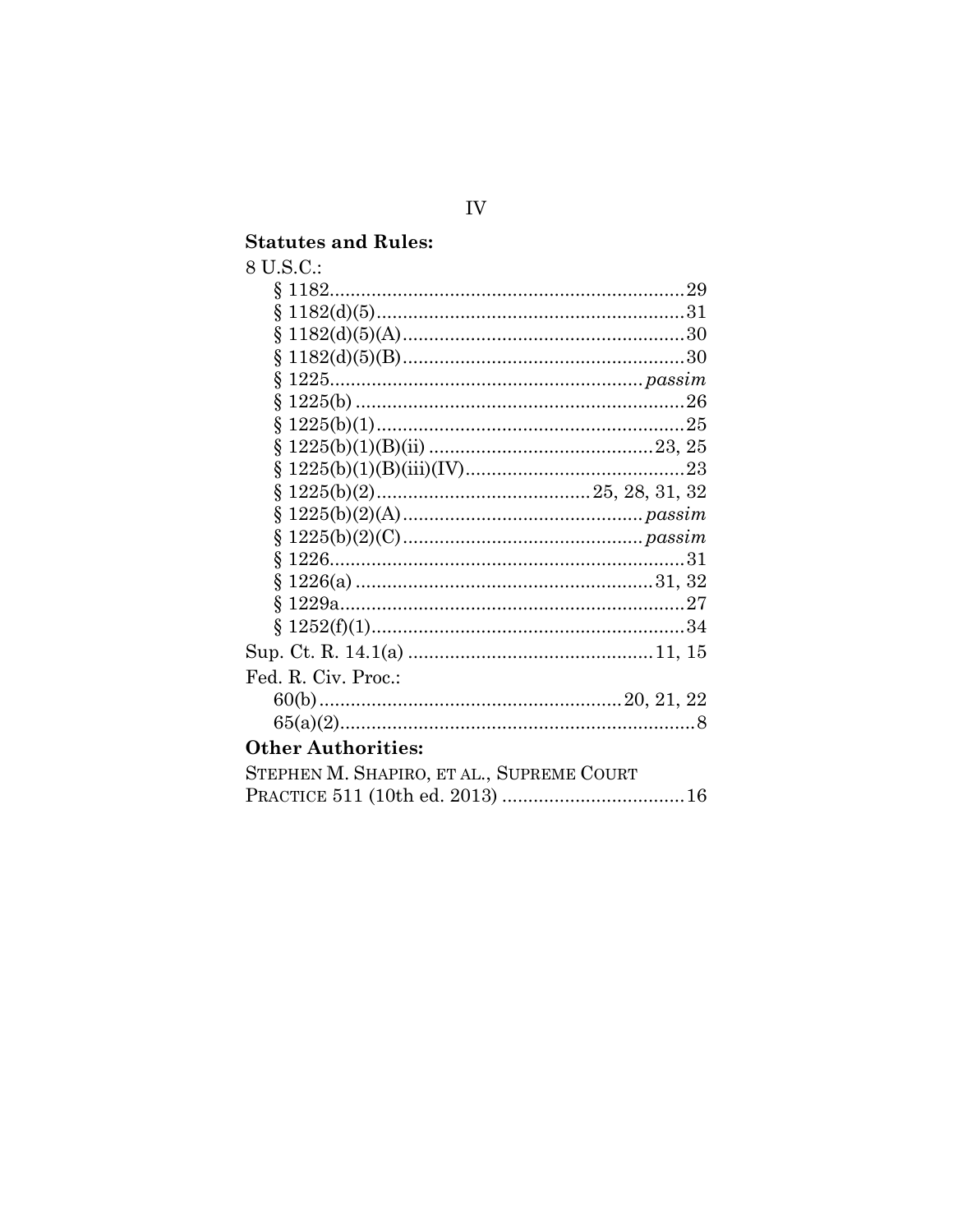# **Statutes and Rules:**<br>8 U.S.C.:

| U.S.C.:       |  |
|---------------|--|
|               |  |
| $$1182(d)(5)$ |  |
|               |  |

| Fed. R. Civ. Proc.:                       |
|-------------------------------------------|
|                                           |
|                                           |
| <b>Other Authorities:</b>                 |
| STEPHEN M. SHAPIRO, ET AL., SUPREME COURT |
|                                           |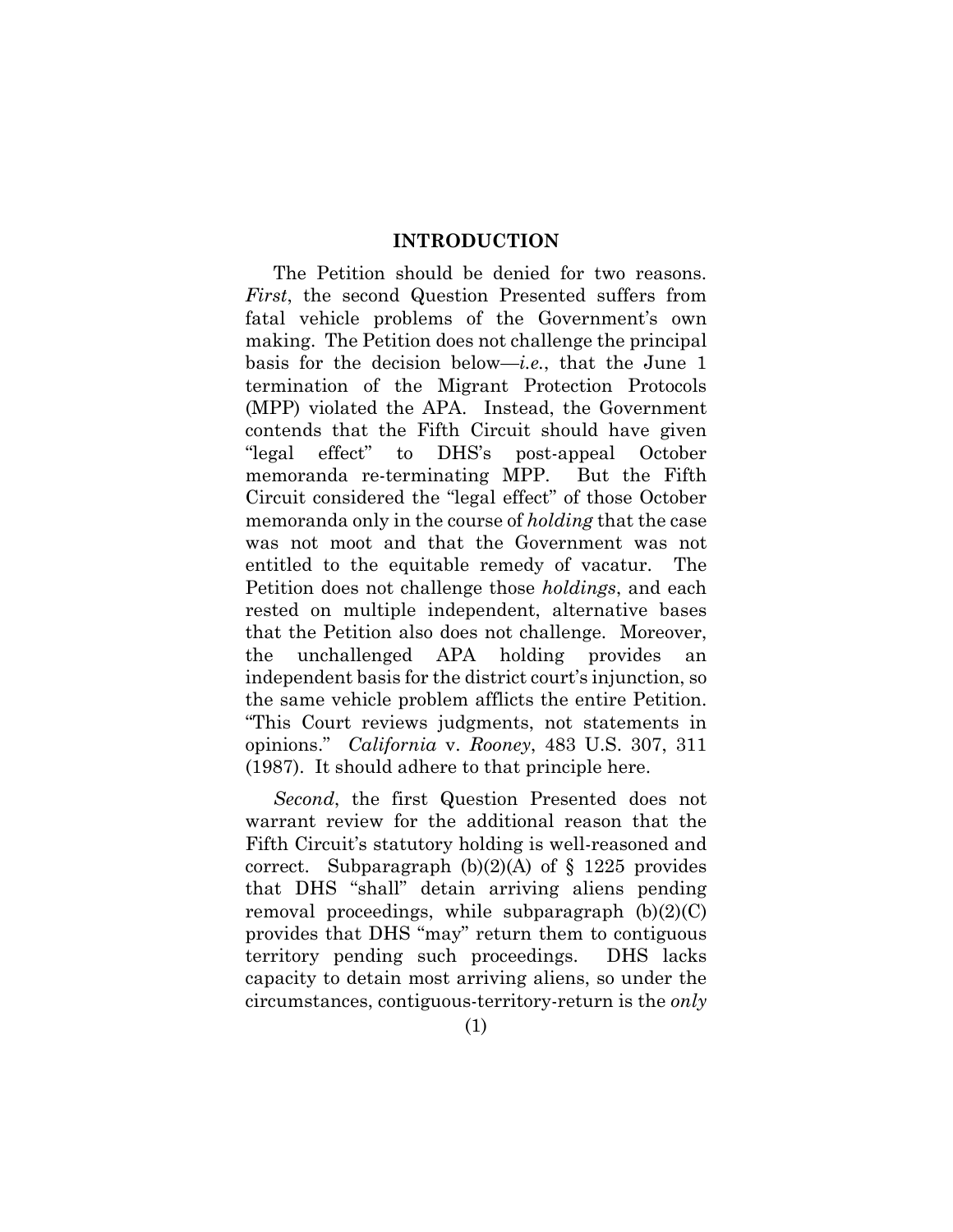#### **INTRODUCTION**

The Petition should be denied for two reasons. *First*, the second Question Presented suffers from fatal vehicle problems of the Government's own making. The Petition does not challenge the principal basis for the decision below—*i.e.*, that the June 1 termination of the Migrant Protection Protocols (MPP) violated the APA. Instead, the Government contends that the Fifth Circuit should have given "legal effect" to DHS's post-appeal October memoranda re-terminating MPP. But the Fifth Circuit considered the "legal effect" of those October memoranda only in the course of *holding* that the case was not moot and that the Government was not entitled to the equitable remedy of vacatur. The Petition does not challenge those *holdings*, and each rested on multiple independent, alternative bases that the Petition also does not challenge. Moreover, the unchallenged APA holding provides an independent basis for the district court's injunction, so the same vehicle problem afflicts the entire Petition. "This Court reviews judgments, not statements in opinions." *California* v. *Rooney*, 483 U.S. 307, 311 (1987). It should adhere to that principle here.

*Second*, the first Question Presented does not warrant review for the additional reason that the Fifth Circuit's statutory holding is well-reasoned and correct. Subparagraph  $(b)(2)(A)$  of § 1225 provides that DHS "shall" detain arriving aliens pending removal proceedings, while subparagraph  $(b)(2)(C)$ provides that DHS "may" return them to contiguous territory pending such proceedings. DHS lacks capacity to detain most arriving aliens, so under the circumstances, contiguous-territory-return is the *only*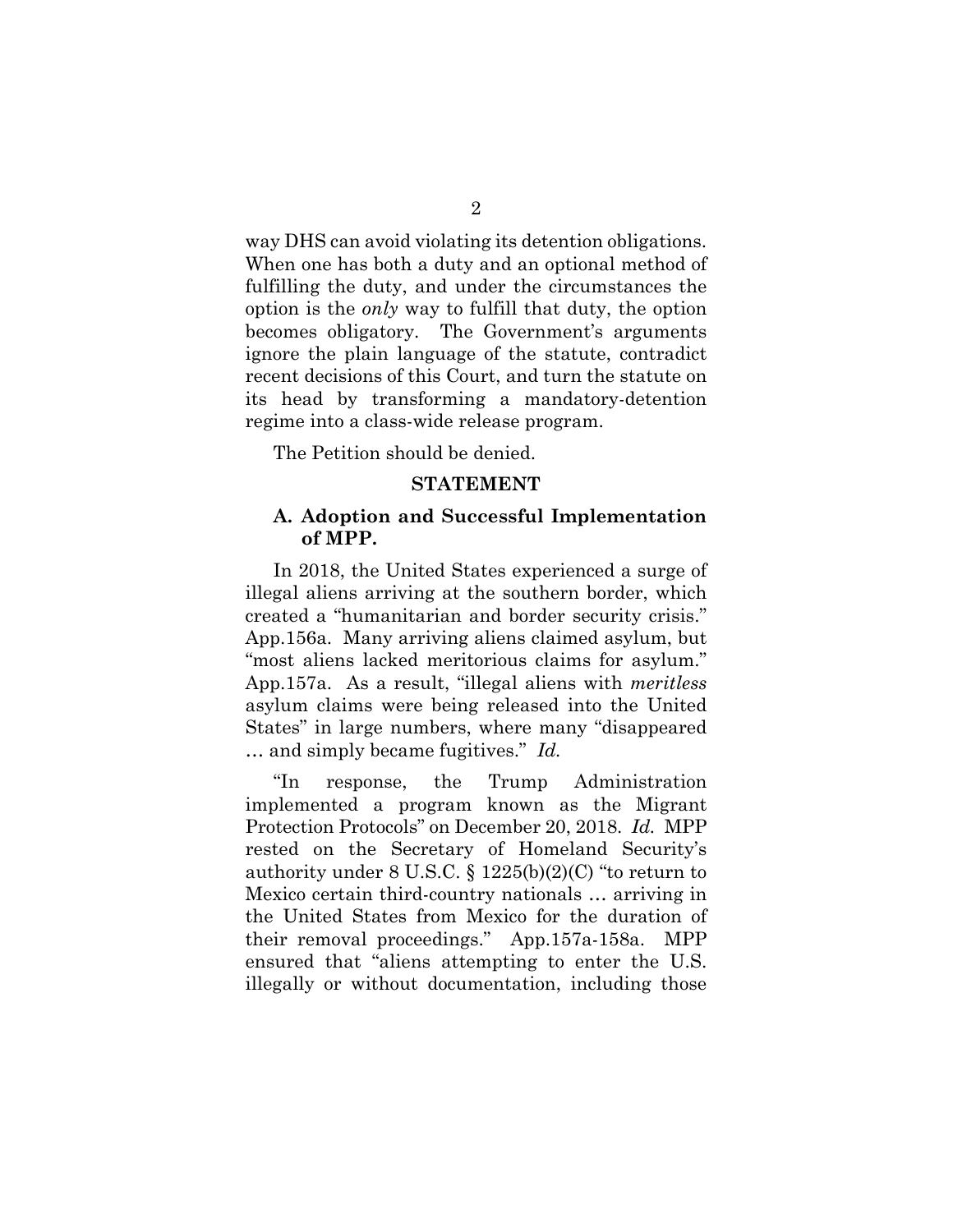way DHS can avoid violating its detention obligations. When one has both a duty and an optional method of fulfilling the duty, and under the circumstances the option is the *only* way to fulfill that duty, the option becomes obligatory. The Government's arguments ignore the plain language of the statute, contradict recent decisions of this Court, and turn the statute on its head by transforming a mandatory-detention regime into a class-wide release program.

The Petition should be denied.

#### **STATEMENT**

#### **A. Adoption and Successful Implementation of MPP.**

In 2018, the United States experienced a surge of illegal aliens arriving at the southern border, which created a "humanitarian and border security crisis." App.156a. Many arriving aliens claimed asylum, but "most aliens lacked meritorious claims for asylum." App.157a. As a result, "illegal aliens with *meritless* asylum claims were being released into the United States" in large numbers, where many "disappeared … and simply became fugitives." *Id.*

"In response, the Trump Administration implemented a program known as the Migrant Protection Protocols" on December 20, 2018. *Id.* MPP rested on the Secretary of Homeland Security's authority under  $8 \text{ U.S.C.} \$   $1225(b)(2)(C)$  "to return to Mexico certain third-country nationals … arriving in the United States from Mexico for the duration of their removal proceedings." App.157a-158a. MPP ensured that "aliens attempting to enter the U.S. illegally or without documentation, including those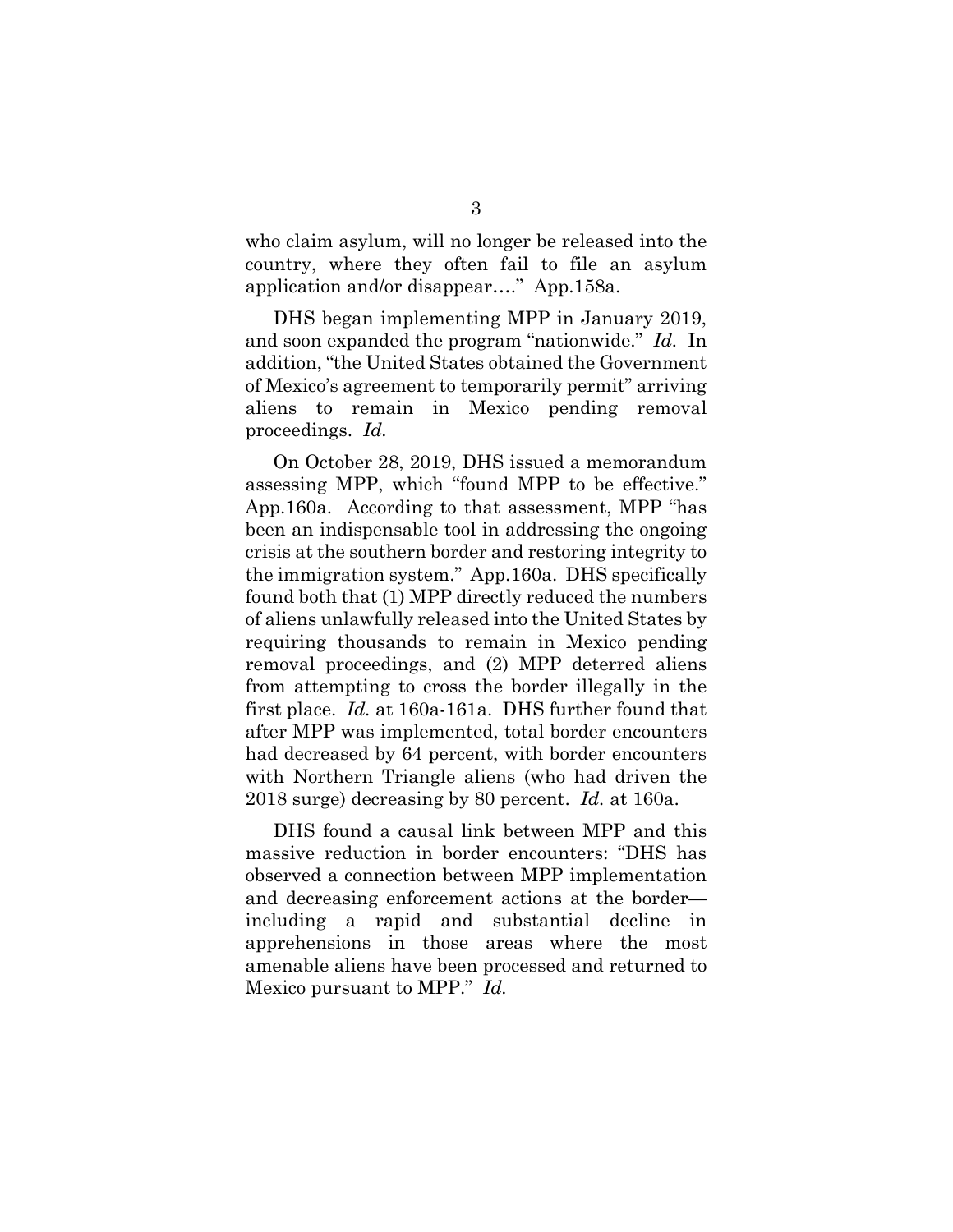who claim asylum, will no longer be released into the country, where they often fail to file an asylum application and/or disappear…." App.158a.

DHS began implementing MPP in January 2019, and soon expanded the program "nationwide." *Id.* In addition, "the United States obtained the Government of Mexico's agreement to temporarily permit" arriving aliens to remain in Mexico pending removal proceedings. *Id.*

On October 28, 2019, DHS issued a memorandum assessing MPP, which "found MPP to be effective." App.160a. According to that assessment, MPP "has been an indispensable tool in addressing the ongoing crisis at the southern border and restoring integrity to the immigration system." App.160a. DHS specifically found both that (1) MPP directly reduced the numbers of aliens unlawfully released into the United States by requiring thousands to remain in Mexico pending removal proceedings, and (2) MPP deterred aliens from attempting to cross the border illegally in the first place. *Id.* at 160a-161a. DHS further found that after MPP was implemented, total border encounters had decreased by 64 percent, with border encounters with Northern Triangle aliens (who had driven the 2018 surge) decreasing by 80 percent. *Id.* at 160a.

DHS found a causal link between MPP and this massive reduction in border encounters: "DHS has observed a connection between MPP implementation and decreasing enforcement actions at the border including a rapid and substantial decline in apprehensions in those areas where the most amenable aliens have been processed and returned to Mexico pursuant to MPP." *Id.*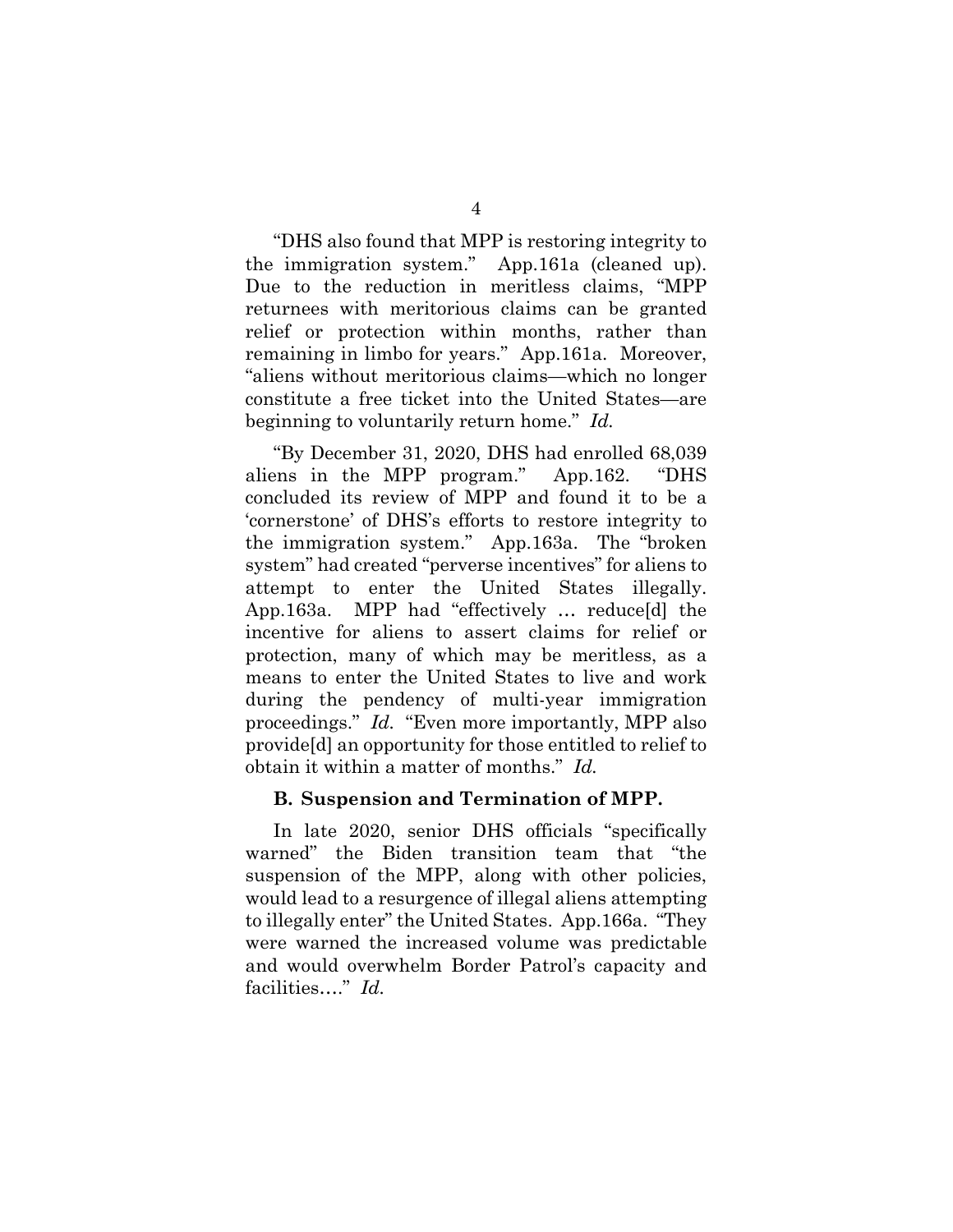"DHS also found that MPP is restoring integrity to the immigration system." App.161a (cleaned up). Due to the reduction in meritless claims, "MPP returnees with meritorious claims can be granted relief or protection within months, rather than remaining in limbo for years." App.161a. Moreover, "aliens without meritorious claims—which no longer constitute a free ticket into the United States—are beginning to voluntarily return home." *Id.*

"By December 31, 2020, DHS had enrolled 68,039 aliens in the MPP program." App.162. "DHS concluded its review of MPP and found it to be a 'cornerstone' of DHS's efforts to restore integrity to the immigration system." App.163a. The "broken system" had created "perverse incentives" for aliens to attempt to enter the United States illegally. App.163a. MPP had "effectively … reduce[d] the incentive for aliens to assert claims for relief or protection, many of which may be meritless, as a means to enter the United States to live and work during the pendency of multi-year immigration proceedings." *Id.* "Even more importantly, MPP also provide[d] an opportunity for those entitled to relief to obtain it within a matter of months." *Id.*

#### **B. Suspension and Termination of MPP.**

In late 2020, senior DHS officials "specifically warned" the Biden transition team that "the suspension of the MPP, along with other policies, would lead to a resurgence of illegal aliens attempting to illegally enter" the United States. App.166a. "They were warned the increased volume was predictable and would overwhelm Border Patrol's capacity and facilities…." *Id.*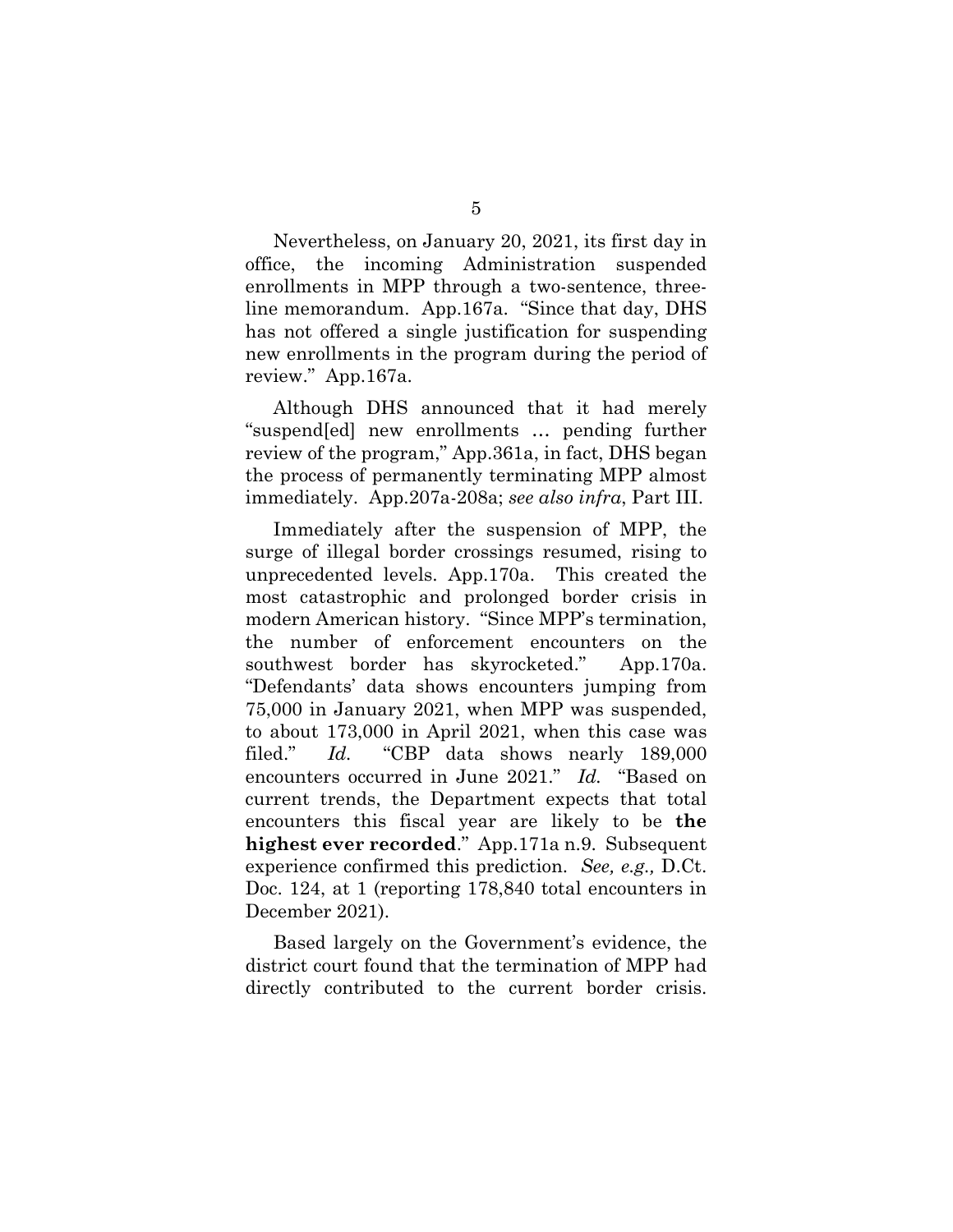Nevertheless, on January 20, 2021, its first day in office, the incoming Administration suspended enrollments in MPP through a two-sentence, threeline memorandum. App.167a. "Since that day, DHS has not offered a single justification for suspending new enrollments in the program during the period of review." App.167a.

Although DHS announced that it had merely "suspend[ed] new enrollments … pending further review of the program," App.361a, in fact, DHS began the process of permanently terminating MPP almost immediately. App.207a-208a; *see also infra*, Part III.

Immediately after the suspension of MPP, the surge of illegal border crossings resumed, rising to unprecedented levels. App.170a. This created the most catastrophic and prolonged border crisis in modern American history. "Since MPP's termination, the number of enforcement encounters on the southwest border has skyrocketed." App.170a. "Defendants' data shows encounters jumping from 75,000 in January 2021, when MPP was suspended, to about 173,000 in April 2021, when this case was filed." *Id.* "CBP data shows nearly 189,000 encounters occurred in June 2021." *Id.* "Based on current trends, the Department expects that total encounters this fiscal year are likely to be **the highest ever recorded**." App.171a n.9. Subsequent experience confirmed this prediction. *See, e.g.,* D.Ct. Doc. 124, at 1 (reporting 178,840 total encounters in December 2021).

Based largely on the Government's evidence, the district court found that the termination of MPP had directly contributed to the current border crisis.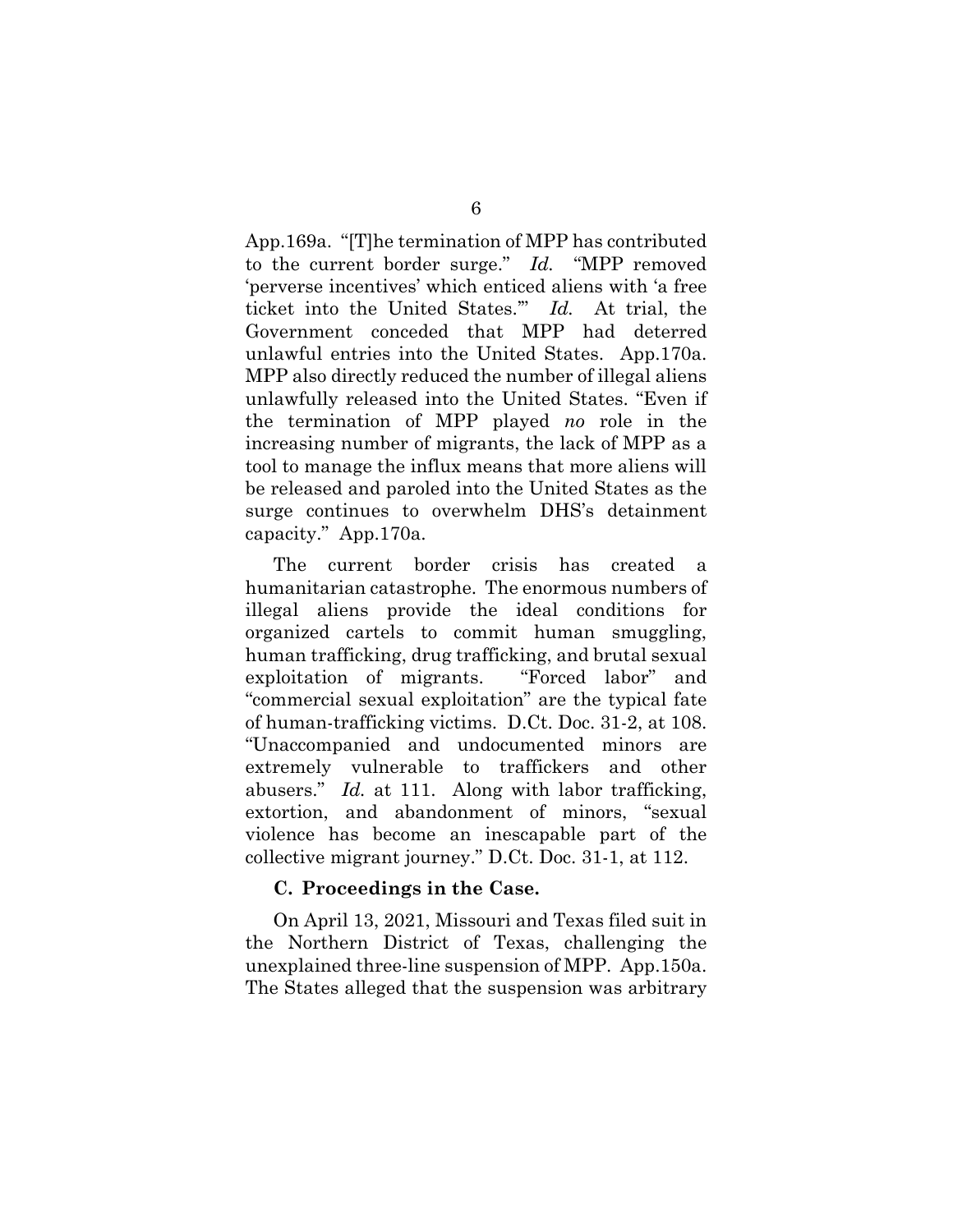App.169a. "[T]he termination of MPP has contributed to the current border surge." *Id.* "MPP removed 'perverse incentives' which enticed aliens with 'a free ticket into the United States.'" *Id.* At trial, the Government conceded that MPP had deterred unlawful entries into the United States. App.170a. MPP also directly reduced the number of illegal aliens unlawfully released into the United States. "Even if the termination of MPP played *no* role in the increasing number of migrants, the lack of MPP as a tool to manage the influx means that more aliens will be released and paroled into the United States as the surge continues to overwhelm DHS's detainment capacity." App.170a.

The current border crisis has created a humanitarian catastrophe. The enormous numbers of illegal aliens provide the ideal conditions for organized cartels to commit human smuggling, human trafficking, drug trafficking, and brutal sexual exploitation of migrants. "Forced labor" and "commercial sexual exploitation" are the typical fate of human-trafficking victims. D.Ct. Doc. 31-2, at 108. "Unaccompanied and undocumented minors are extremely vulnerable to traffickers and other abusers." *Id.* at 111. Along with labor trafficking, extortion, and abandonment of minors, "sexual violence has become an inescapable part of the collective migrant journey." D.Ct. Doc. 31-1, at 112.

#### **C. Proceedings in the Case.**

On April 13, 2021, Missouri and Texas filed suit in the Northern District of Texas, challenging the unexplained three-line suspension of MPP. App.150a. The States alleged that the suspension was arbitrary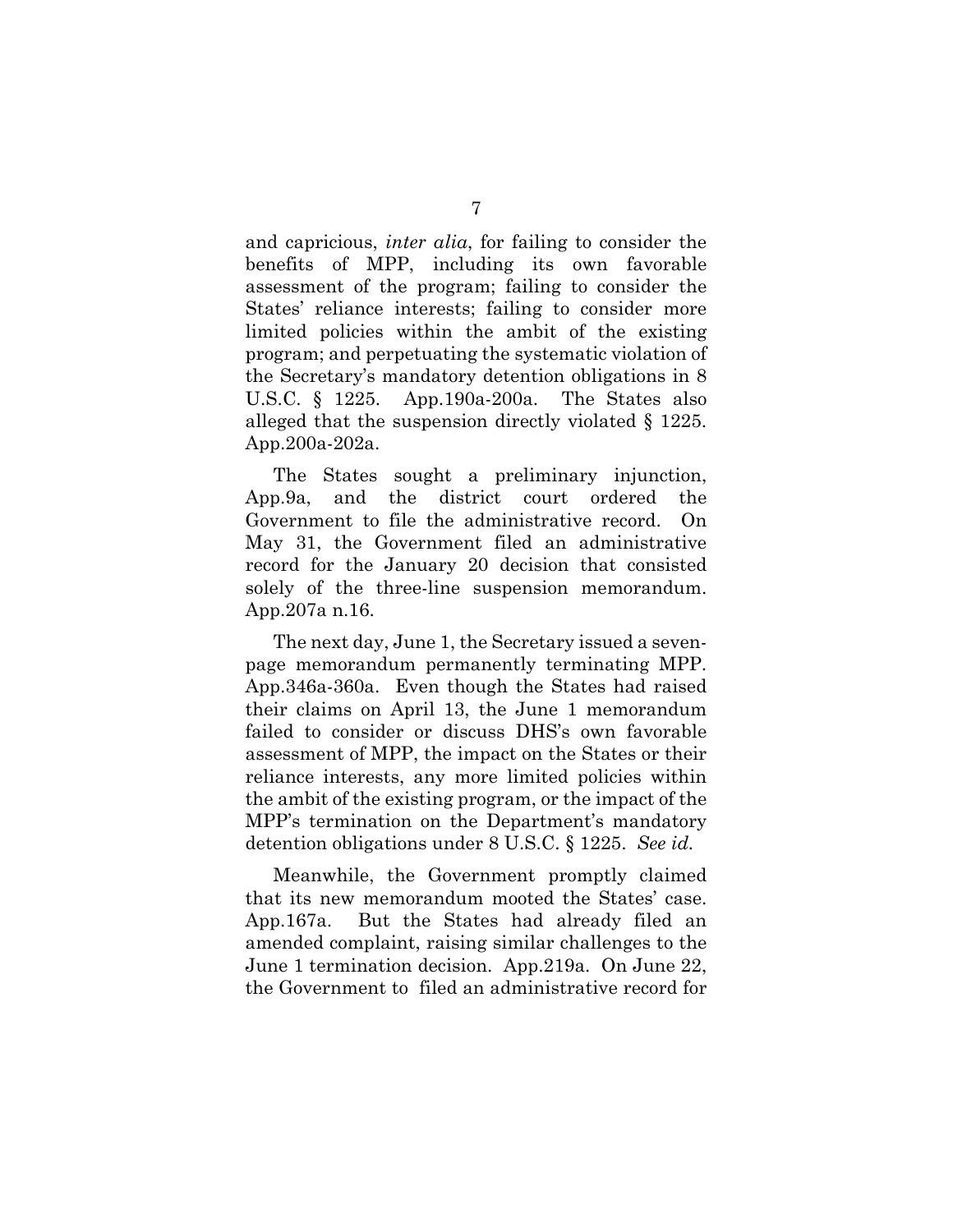and capricious, *inter alia*, for failing to consider the benefits of MPP, including its own favorable assessment of the program; failing to consider the States' reliance interests; failing to consider more limited policies within the ambit of the existing program; and perpetuating the systematic violation of the Secretary's mandatory detention obligations in 8 U.S.C. § 1225. App.190a-200a. The States also alleged that the suspension directly violated § 1225. App.200a-202a.

The States sought a preliminary injunction, App.9a, and the district court ordered the Government to file the administrative record. On May 31, the Government filed an administrative record for the January 20 decision that consisted solely of the three-line suspension memorandum. App.207a n.16.

The next day, June 1, the Secretary issued a sevenpage memorandum permanently terminating MPP. App.346a-360a. Even though the States had raised their claims on April 13, the June 1 memorandum failed to consider or discuss DHS's own favorable assessment of MPP, the impact on the States or their reliance interests, any more limited policies within the ambit of the existing program, or the impact of the MPP's termination on the Department's mandatory detention obligations under 8 U.S.C. § 1225. *See id.*

Meanwhile, the Government promptly claimed that its new memorandum mooted the States' case. App.167a. But the States had already filed an amended complaint, raising similar challenges to the June 1 termination decision. App.219a. On June 22, the Government to filed an administrative record for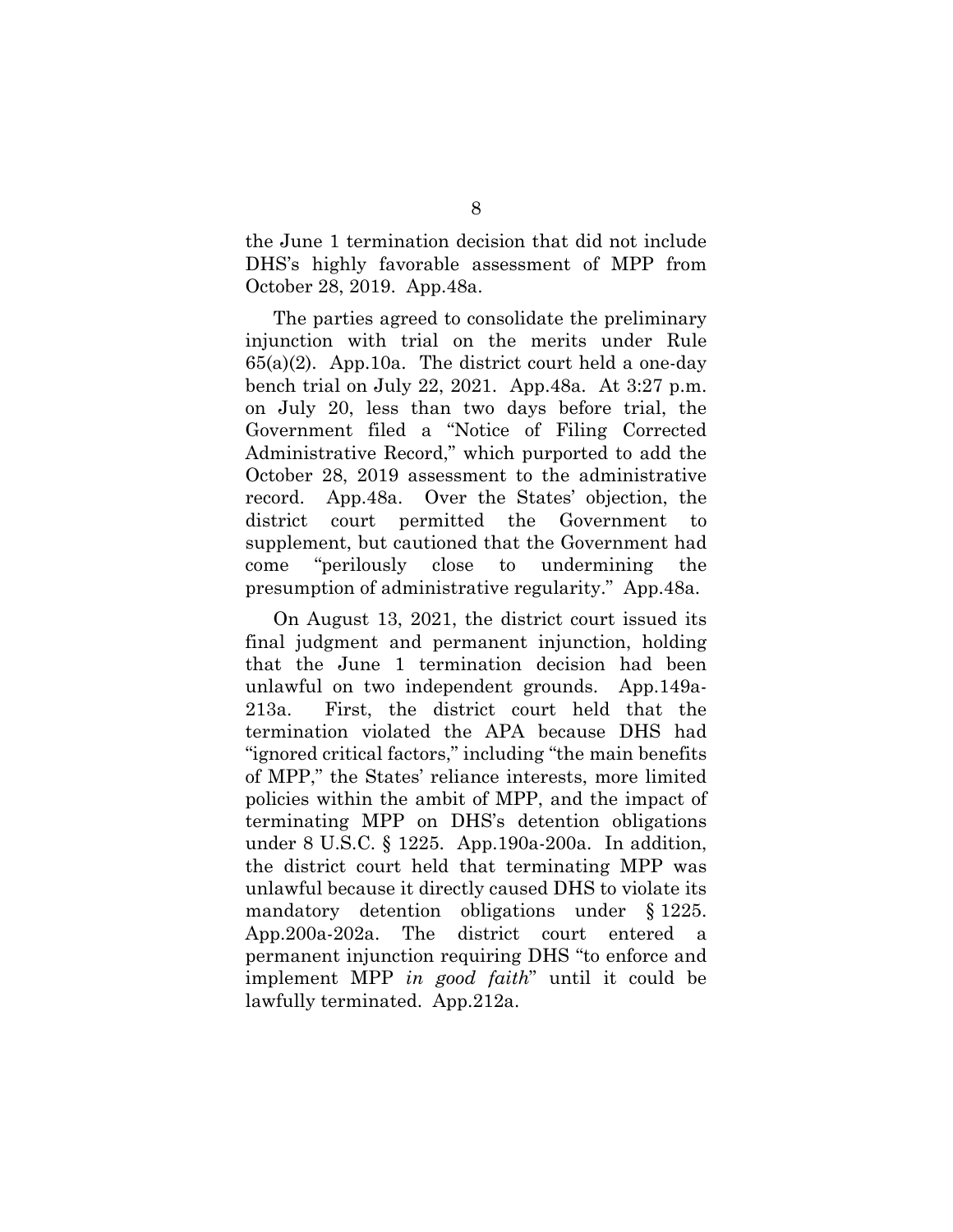the June 1 termination decision that did not include DHS's highly favorable assessment of MPP from October 28, 2019. App.48a.

The parties agreed to consolidate the preliminary injunction with trial on the merits under Rule 65(a)(2). App.10a. The district court held a one-day bench trial on July 22, 2021. App.48a. At 3:27 p.m. on July 20, less than two days before trial, the Government filed a "Notice of Filing Corrected Administrative Record," which purported to add the October 28, 2019 assessment to the administrative record. App.48a. Over the States' objection, the district court permitted the Government to supplement, but cautioned that the Government had come "perilously close to undermining the presumption of administrative regularity." App.48a.

On August 13, 2021, the district court issued its final judgment and permanent injunction, holding that the June 1 termination decision had been unlawful on two independent grounds. App.149a-213a. First, the district court held that the termination violated the APA because DHS had "ignored critical factors," including "the main benefits of MPP," the States' reliance interests, more limited policies within the ambit of MPP, and the impact of terminating MPP on DHS's detention obligations under 8 U.S.C. § 1225. App.190a-200a. In addition, the district court held that terminating MPP was unlawful because it directly caused DHS to violate its mandatory detention obligations under § 1225. App.200a-202a. The district court entered a permanent injunction requiring DHS "to enforce and implement MPP *in good faith*" until it could be lawfully terminated. App.212a.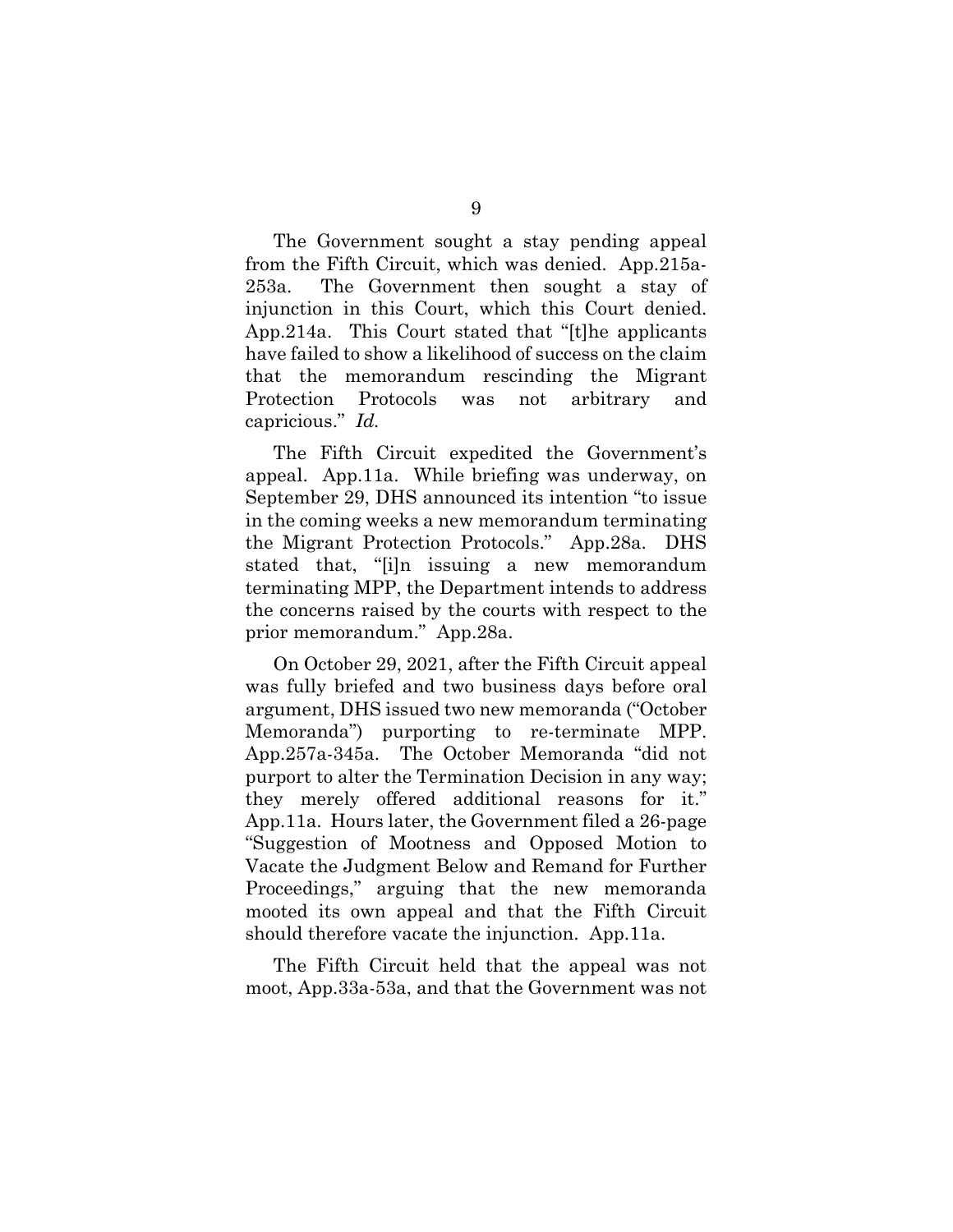The Government sought a stay pending appeal from the Fifth Circuit, which was denied. App.215a-253a. The Government then sought a stay of injunction in this Court, which this Court denied. App.214a. This Court stated that "[t]he applicants have failed to show a likelihood of success on the claim that the memorandum rescinding the Migrant Protection Protocols was not arbitrary and capricious." *Id.*

The Fifth Circuit expedited the Government's appeal. App.11a. While briefing was underway, on September 29, DHS announced its intention "to issue in the coming weeks a new memorandum terminating the Migrant Protection Protocols." App.28a. DHS stated that, "[i]n issuing a new memorandum terminating MPP, the Department intends to address the concerns raised by the courts with respect to the prior memorandum." App.28a.

On October 29, 2021, after the Fifth Circuit appeal was fully briefed and two business days before oral argument, DHS issued two new memoranda ("October Memoranda") purporting to re-terminate MPP. App.257a-345a. The October Memoranda "did not purport to alter the Termination Decision in any way; they merely offered additional reasons for it." App.11a. Hours later, the Government filed a 26-page "Suggestion of Mootness and Opposed Motion to Vacate the Judgment Below and Remand for Further Proceedings," arguing that the new memoranda mooted its own appeal and that the Fifth Circuit should therefore vacate the injunction. App.11a.

The Fifth Circuit held that the appeal was not moot, App.33a-53a, and that the Government was not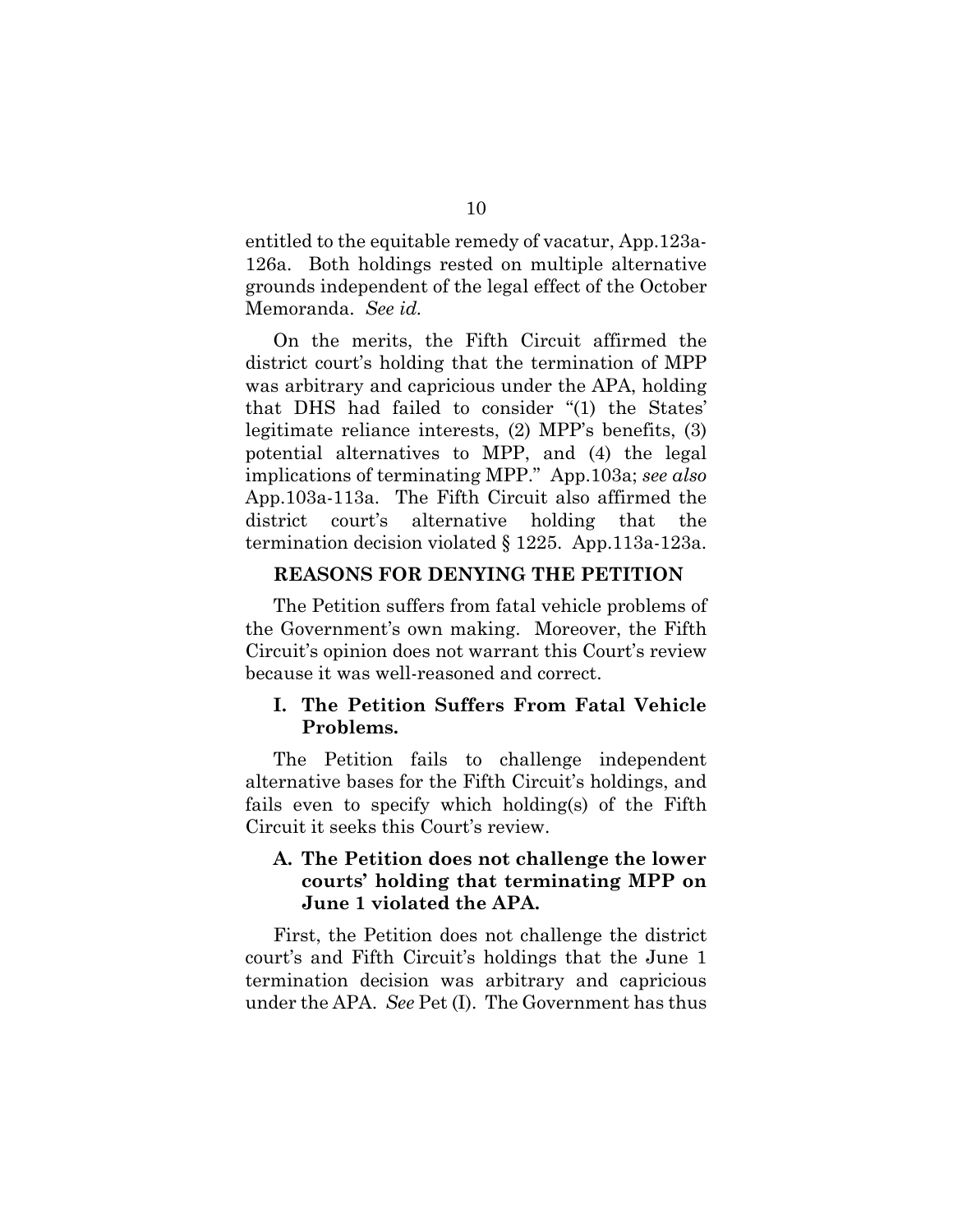entitled to the equitable remedy of vacatur, App.123a-126a. Both holdings rested on multiple alternative grounds independent of the legal effect of the October Memoranda. *See id.*

On the merits, the Fifth Circuit affirmed the district court's holding that the termination of MPP was arbitrary and capricious under the APA, holding that DHS had failed to consider "(1) the States' legitimate reliance interests, (2) MPP's benefits, (3) potential alternatives to MPP, and (4) the legal implications of terminating MPP." App.103a; *see also* App.103a-113a. The Fifth Circuit also affirmed the district court's alternative holding that the termination decision violated § 1225. App.113a-123a.

#### **REASONS FOR DENYING THE PETITION**

The Petition suffers from fatal vehicle problems of the Government's own making. Moreover, the Fifth Circuit's opinion does not warrant this Court's review because it was well-reasoned and correct.

#### **I. The Petition Suffers From Fatal Vehicle Problems.**

The Petition fails to challenge independent alternative bases for the Fifth Circuit's holdings, and fails even to specify which holding(s) of the Fifth Circuit it seeks this Court's review.

#### **A. The Petition does not challenge the lower courts' holding that terminating MPP on June 1 violated the APA.**

First, the Petition does not challenge the district court's and Fifth Circuit's holdings that the June 1 termination decision was arbitrary and capricious under the APA. *See* Pet (I). The Government has thus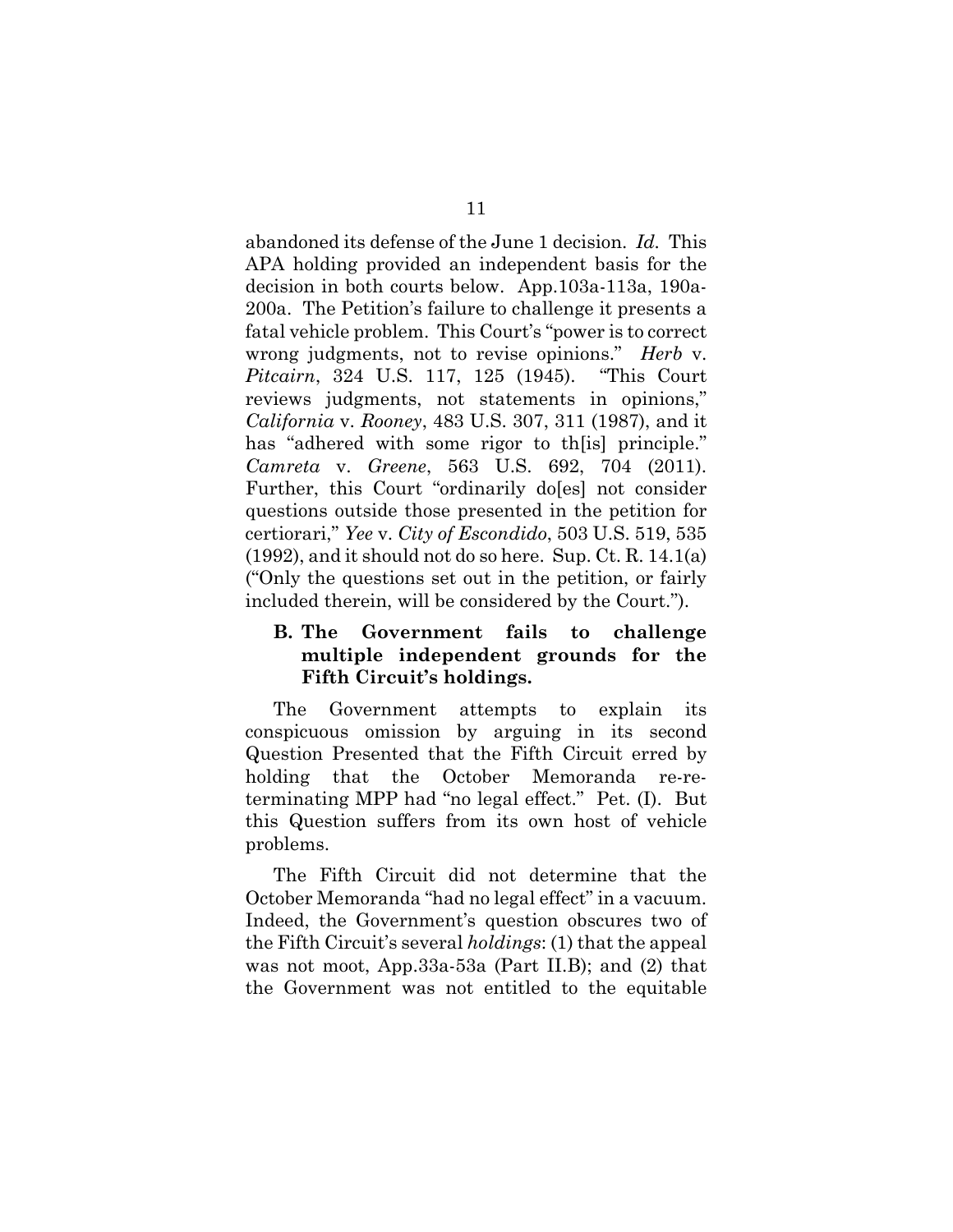abandoned its defense of the June 1 decision. *Id.* This APA holding provided an independent basis for the decision in both courts below. App.103a-113a, 190a-200a. The Petition's failure to challenge it presents a fatal vehicle problem. This Court's "power is to correct wrong judgments, not to revise opinions." *Herb* v. *Pitcairn*, 324 U.S. 117, 125 (1945). "This Court reviews judgments, not statements in opinions," *California* v. *Rooney*, 483 U.S. 307, 311 (1987), and it has "adhered with some rigor to the principle." *Camreta* v. *Greene*, 563 U.S. 692, 704 (2011). Further, this Court "ordinarily do[es] not consider questions outside those presented in the petition for certiorari," *Yee* v. *City of Escondido*, 503 U.S. 519, 535 (1992), and it should not do so here. Sup. Ct. R. 14.1(a) ("Only the questions set out in the petition, or fairly included therein, will be considered by the Court.").

#### **B. The Government fails to challenge multiple independent grounds for the Fifth Circuit's holdings.**

The Government attempts to explain its conspicuous omission by arguing in its second Question Presented that the Fifth Circuit erred by holding that the October Memoranda re-reterminating MPP had "no legal effect." Pet. (I). But this Question suffers from its own host of vehicle problems.

The Fifth Circuit did not determine that the October Memoranda "had no legal effect" in a vacuum. Indeed, the Government's question obscures two of the Fifth Circuit's several *holdings*: (1) that the appeal was not moot, App.33a-53a (Part II.B); and (2) that the Government was not entitled to the equitable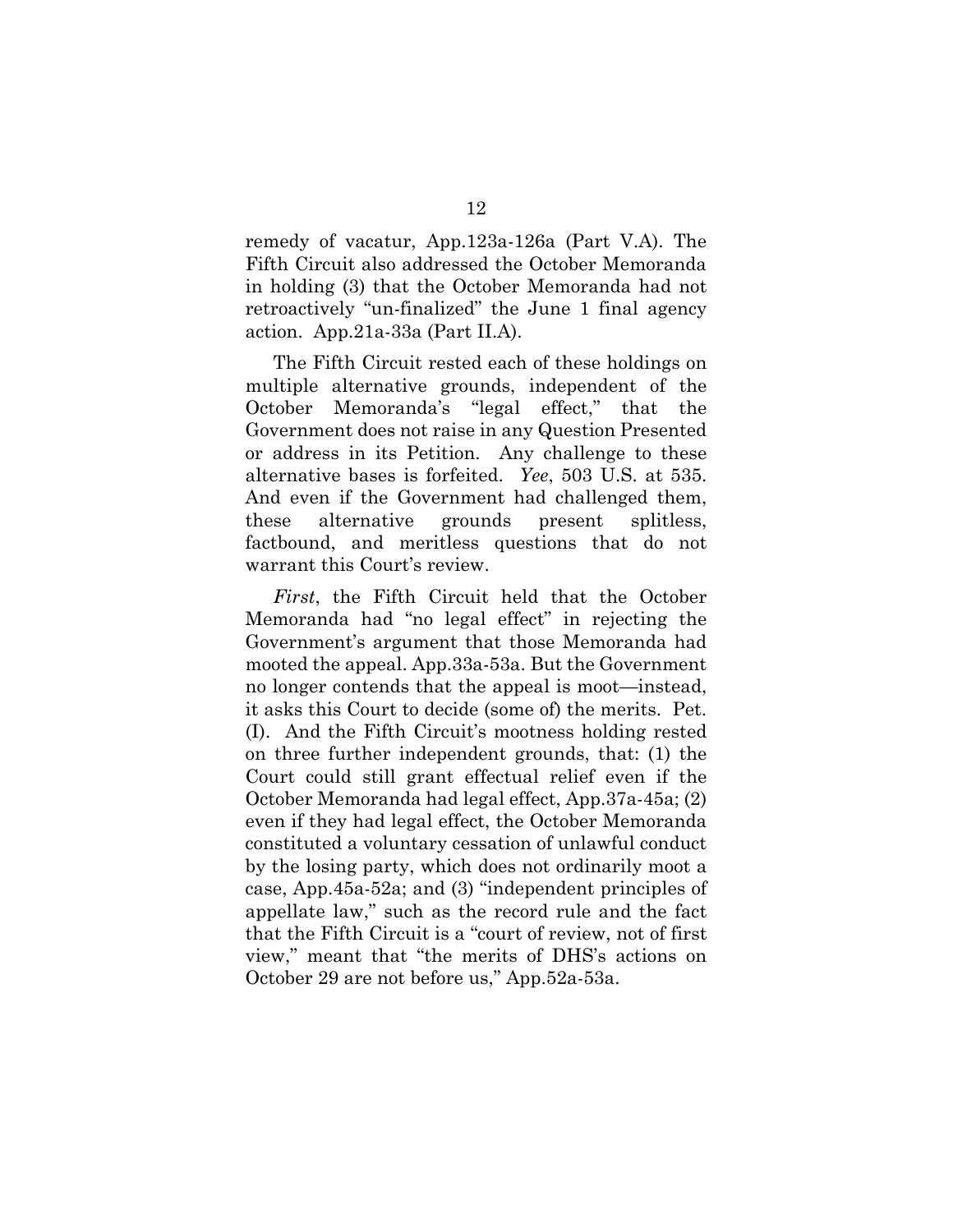remedy of vacatur, App.123a-126a (Part V.A). The Fifth Circuit also addressed the October Memoranda in holding (3) that the October Memoranda had not retroactively "un-finalized" the June 1 final agency action. App.21a-33a (Part II.A).

The Fifth Circuit rested each of these holdings on multiple alternative grounds, independent of the October Memoranda's "legal effect," that the Government does not raise in any Question Presented or address in its Petition. Any challenge to these alternative bases is forfeited. *Yee*, 503 U.S. at 535. And even if the Government had challenged them, these alternative grounds present splitless, factbound, and meritless questions that do not warrant this Court's review.

*First*, the Fifth Circuit held that the October Memoranda had "no legal effect" in rejecting the Government's argument that those Memoranda had mooted the appeal. App.33a-53a. But the Government no longer contends that the appeal is moot—instead, it asks this Court to decide (some of) the merits. Pet. (I). And the Fifth Circuit's mootness holding rested on three further independent grounds, that: (1) the Court could still grant effectual relief even if the October Memoranda had legal effect, App.37a-45a; (2) even if they had legal effect, the October Memoranda constituted a voluntary cessation of unlawful conduct by the losing party, which does not ordinarily moot a case, App.45a-52a; and (3) "independent principles of appellate law," such as the record rule and the fact that the Fifth Circuit is a "court of review, not of first view," meant that "the merits of DHS's actions on October 29 are not before us," App.52a-53a.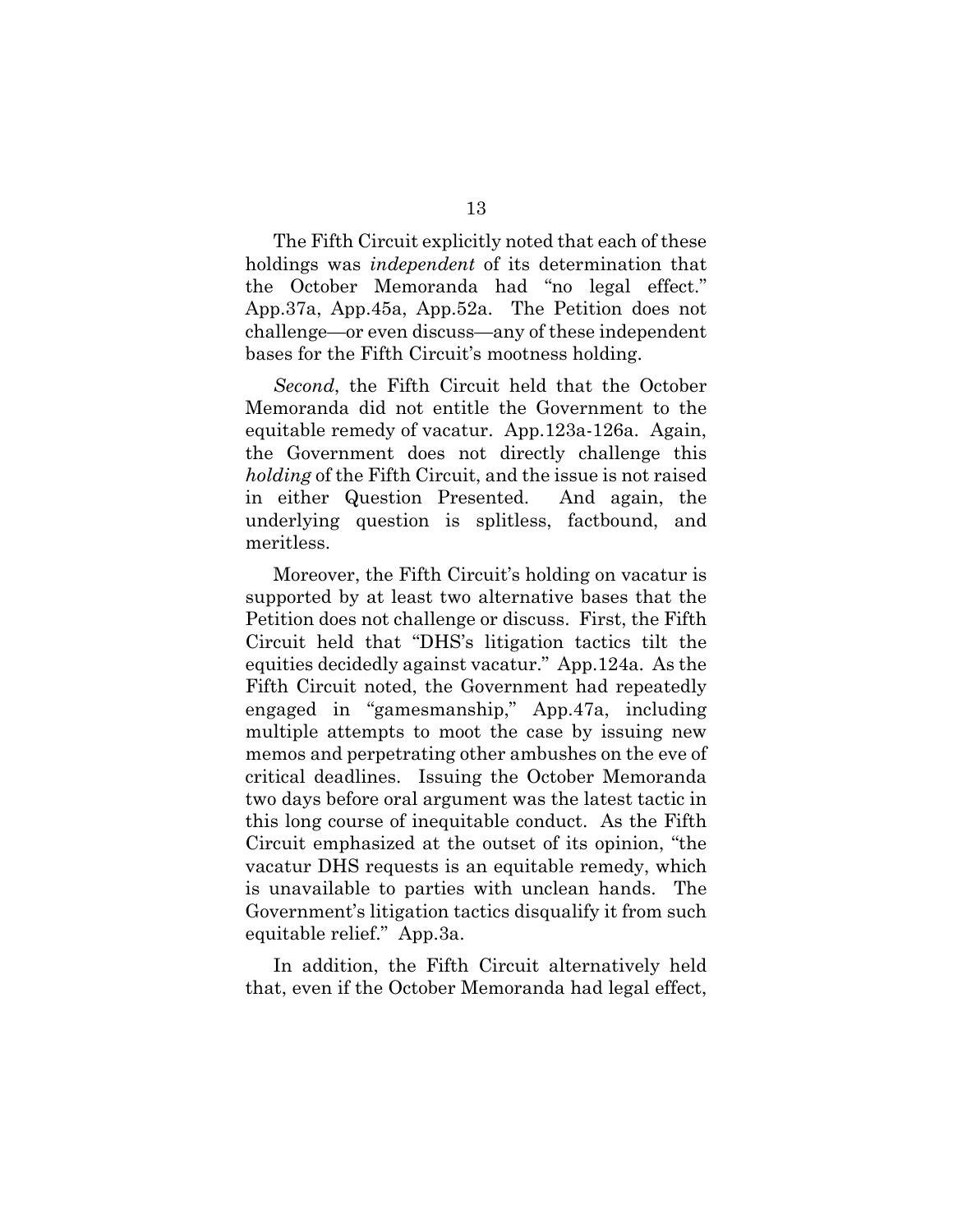The Fifth Circuit explicitly noted that each of these holdings was *independent* of its determination that the October Memoranda had "no legal effect." App.37a, App.45a, App.52a. The Petition does not challenge—or even discuss—any of these independent bases for the Fifth Circuit's mootness holding.

*Second*, the Fifth Circuit held that the October Memoranda did not entitle the Government to the equitable remedy of vacatur. App.123a-126a. Again, the Government does not directly challenge this *holding* of the Fifth Circuit, and the issue is not raised in either Question Presented. And again, the underlying question is splitless, factbound, and meritless.

Moreover, the Fifth Circuit's holding on vacatur is supported by at least two alternative bases that the Petition does not challenge or discuss. First, the Fifth Circuit held that "DHS's litigation tactics tilt the equities decidedly against vacatur." App.124a. As the Fifth Circuit noted, the Government had repeatedly engaged in "gamesmanship," App.47a, including multiple attempts to moot the case by issuing new memos and perpetrating other ambushes on the eve of critical deadlines. Issuing the October Memoranda two days before oral argument was the latest tactic in this long course of inequitable conduct. As the Fifth Circuit emphasized at the outset of its opinion, "the vacatur DHS requests is an equitable remedy, which is unavailable to parties with unclean hands. The Government's litigation tactics disqualify it from such equitable relief." App.3a.

In addition, the Fifth Circuit alternatively held that, even if the October Memoranda had legal effect,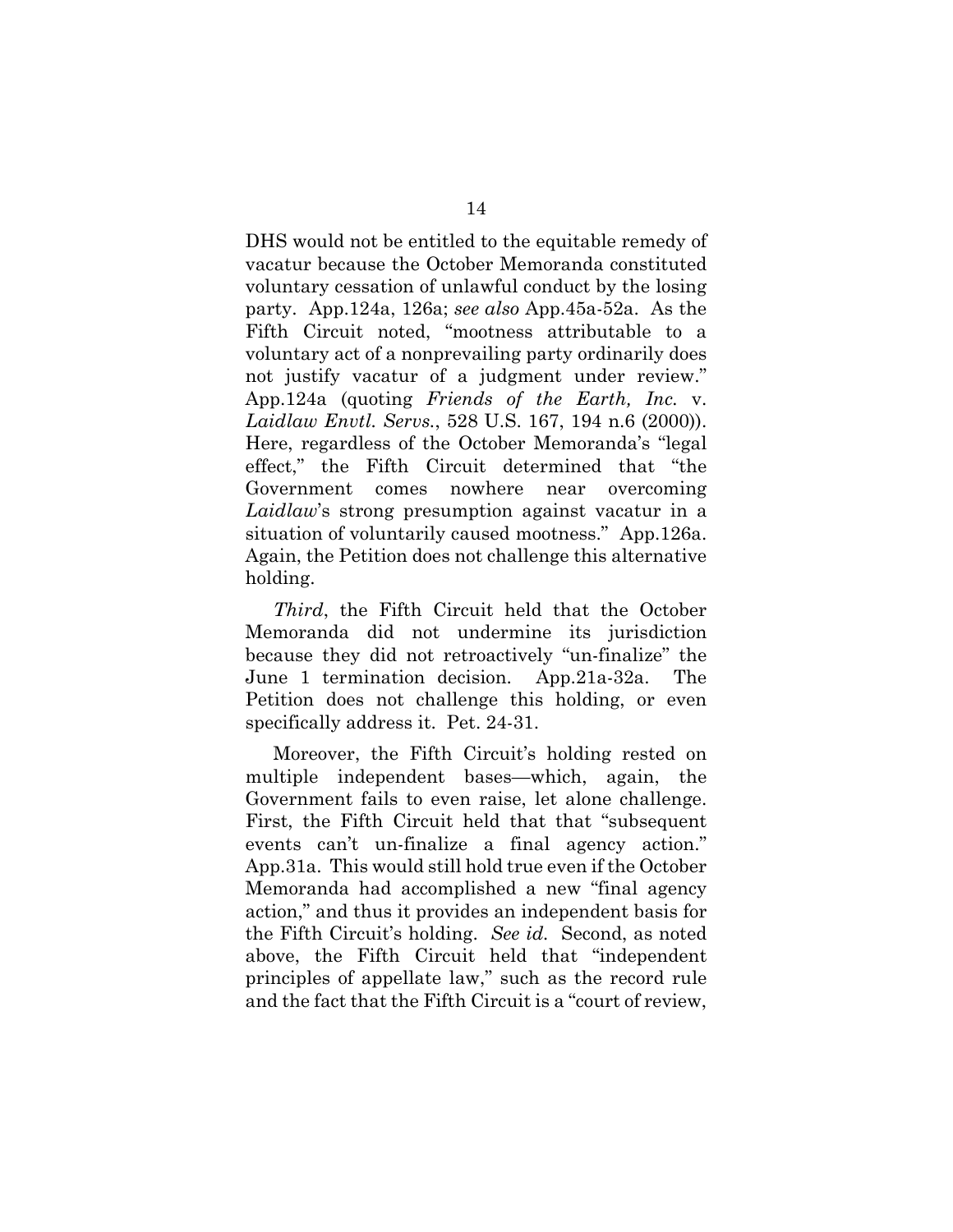DHS would not be entitled to the equitable remedy of vacatur because the October Memoranda constituted voluntary cessation of unlawful conduct by the losing party. App.124a, 126a; *see also* App.45a-52a. As the Fifth Circuit noted, "mootness attributable to a voluntary act of a nonprevailing party ordinarily does not justify vacatur of a judgment under review." App.124a (quoting *Friends of the Earth, Inc.* v. *Laidlaw Envtl. Servs.*, 528 U.S. 167, 194 n.6 (2000)). Here, regardless of the October Memoranda's "legal effect," the Fifth Circuit determined that "the Government comes nowhere near overcoming *Laidlaw*'s strong presumption against vacatur in a situation of voluntarily caused mootness." App.126a. Again, the Petition does not challenge this alternative holding.

*Third*, the Fifth Circuit held that the October Memoranda did not undermine its jurisdiction because they did not retroactively "un-finalize" the June 1 termination decision. App.21a-32a. The Petition does not challenge this holding, or even specifically address it. Pet. 24-31.

Moreover, the Fifth Circuit's holding rested on multiple independent bases—which, again, the Government fails to even raise, let alone challenge. First, the Fifth Circuit held that that "subsequent events can't un-finalize a final agency action." App.31a. This would still hold true even if the October Memoranda had accomplished a new "final agency action," and thus it provides an independent basis for the Fifth Circuit's holding. *See id.* Second, as noted above, the Fifth Circuit held that "independent principles of appellate law," such as the record rule and the fact that the Fifth Circuit is a "court of review,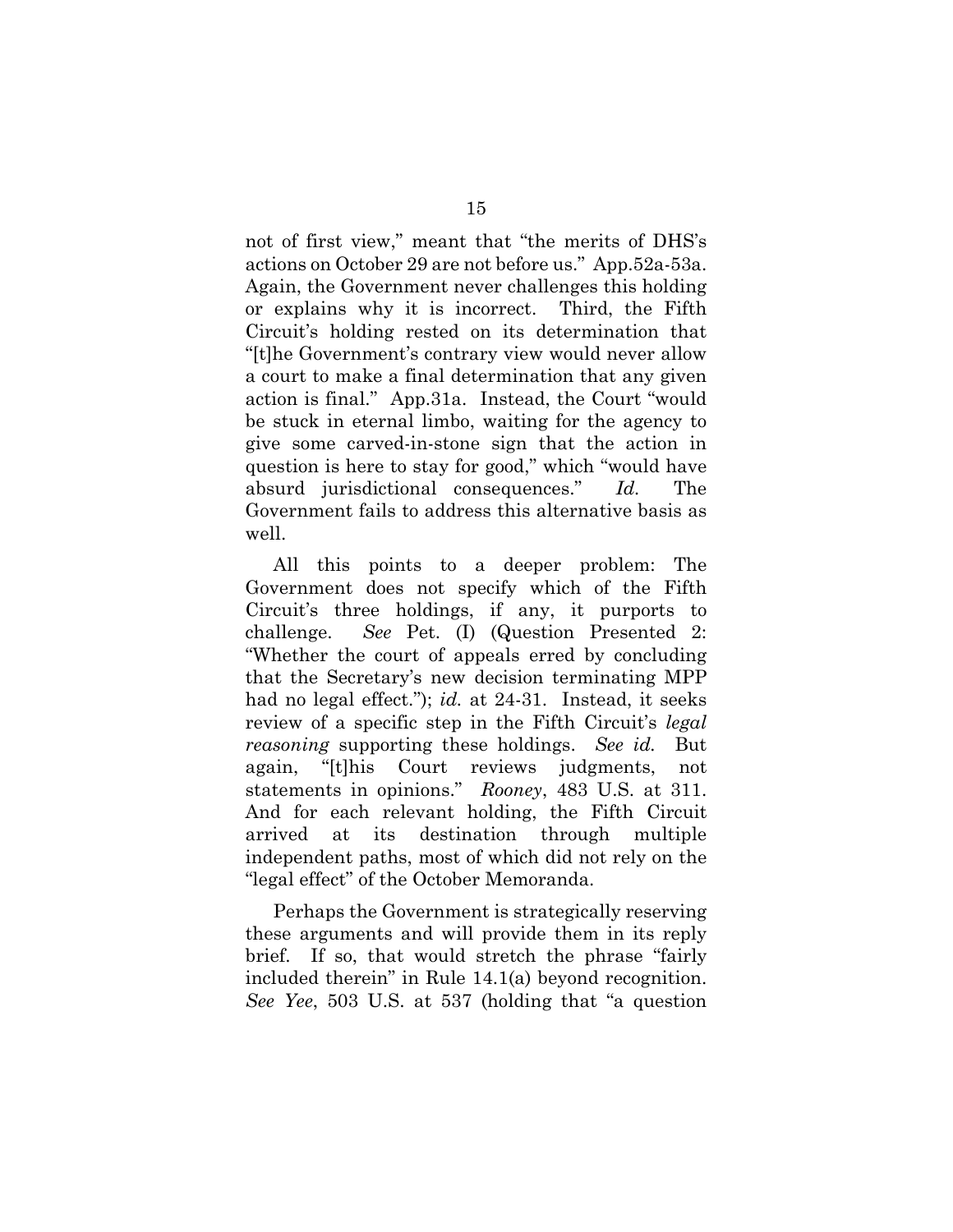not of first view," meant that "the merits of DHS's actions on October 29 are not before us." App.52a-53a. Again, the Government never challenges this holding or explains why it is incorrect. Third, the Fifth Circuit's holding rested on its determination that "[t]he Government's contrary view would never allow a court to make a final determination that any given action is final." App.31a. Instead, the Court "would be stuck in eternal limbo, waiting for the agency to give some carved-in-stone sign that the action in question is here to stay for good," which "would have absurd jurisdictional consequences." *Id.* The Government fails to address this alternative basis as well.

All this points to a deeper problem: The Government does not specify which of the Fifth Circuit's three holdings, if any, it purports to challenge. *See* Pet. (I) (Question Presented 2: "Whether the court of appeals erred by concluding that the Secretary's new decision terminating MPP had no legal effect."); *id.* at 24-31. Instead, it seeks review of a specific step in the Fifth Circuit's *legal reasoning* supporting these holdings. *See id.* But again, "[t]his Court reviews judgments, not statements in opinions." *Rooney*, 483 U.S. at 311. And for each relevant holding, the Fifth Circuit arrived at its destination through multiple independent paths, most of which did not rely on the "legal effect" of the October Memoranda.

Perhaps the Government is strategically reserving these arguments and will provide them in its reply brief. If so, that would stretch the phrase "fairly included therein" in Rule 14.1(a) beyond recognition. *See Yee*, 503 U.S. at 537 (holding that "a question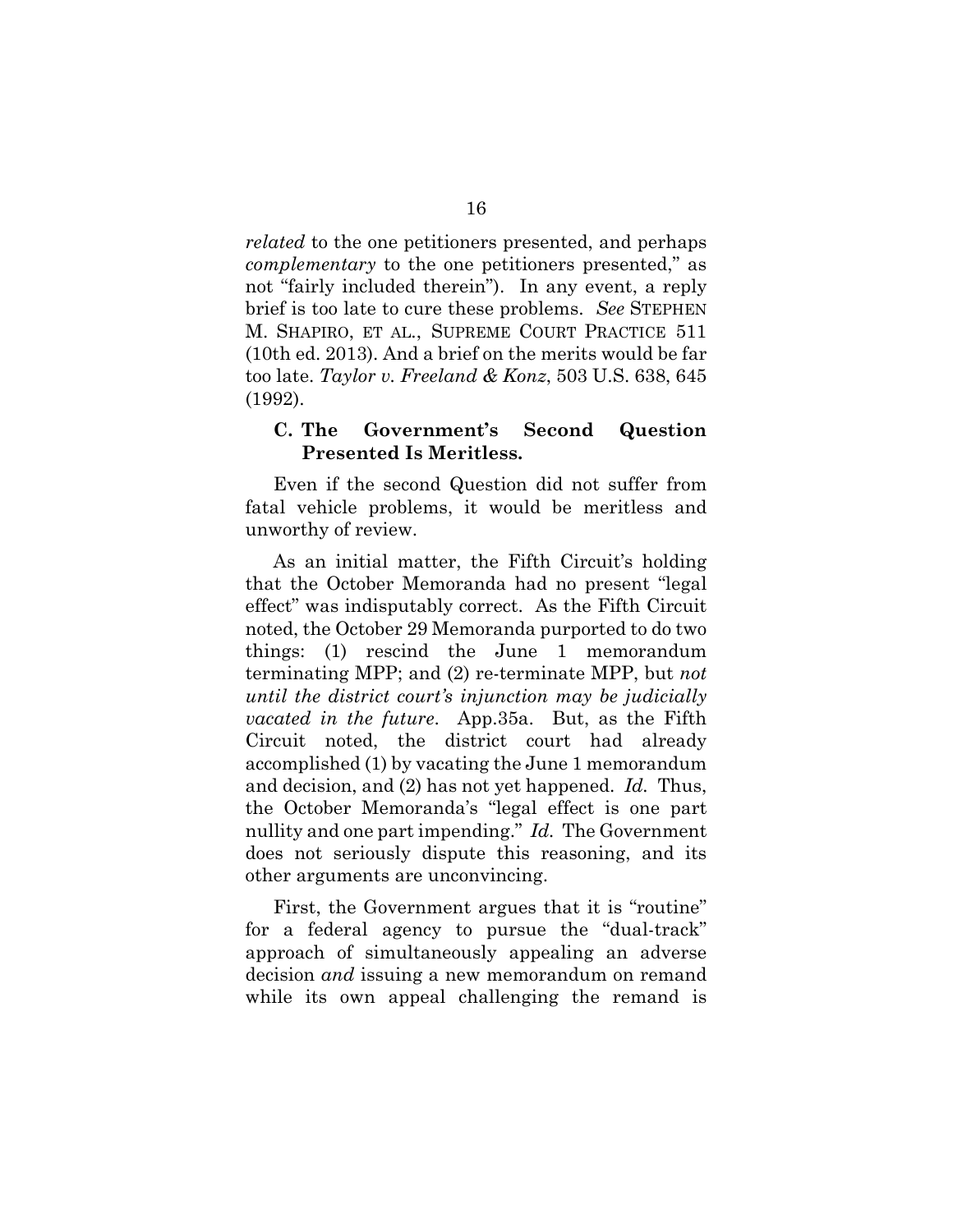*related* to the one petitioners presented, and perhaps *complementary* to the one petitioners presented," as not "fairly included therein"). In any event, a reply brief is too late to cure these problems. *See* STEPHEN M. SHAPIRO, ET AL., SUPREME COURT PRACTICE 511 (10th ed. 2013). And a brief on the merits would be far too late. *Taylor v. Freeland & Konz*, 503 U.S. 638, 645 (1992).

#### **C. The Government's Second Question Presented Is Meritless.**

Even if the second Question did not suffer from fatal vehicle problems, it would be meritless and unworthy of review.

As an initial matter, the Fifth Circuit's holding that the October Memoranda had no present "legal effect" was indisputably correct. As the Fifth Circuit noted, the October 29 Memoranda purported to do two things: (1) rescind the June 1 memorandum terminating MPP; and (2) re-terminate MPP, but *not until the district court's injunction may be judicially vacated in the future*. App.35a. But, as the Fifth Circuit noted, the district court had already accomplished (1) by vacating the June 1 memorandum and decision, and (2) has not yet happened. *Id.* Thus, the October Memoranda's "legal effect is one part nullity and one part impending." *Id.* The Government does not seriously dispute this reasoning, and its other arguments are unconvincing.

First, the Government argues that it is "routine" for a federal agency to pursue the "dual-track" approach of simultaneously appealing an adverse decision *and* issuing a new memorandum on remand while its own appeal challenging the remand is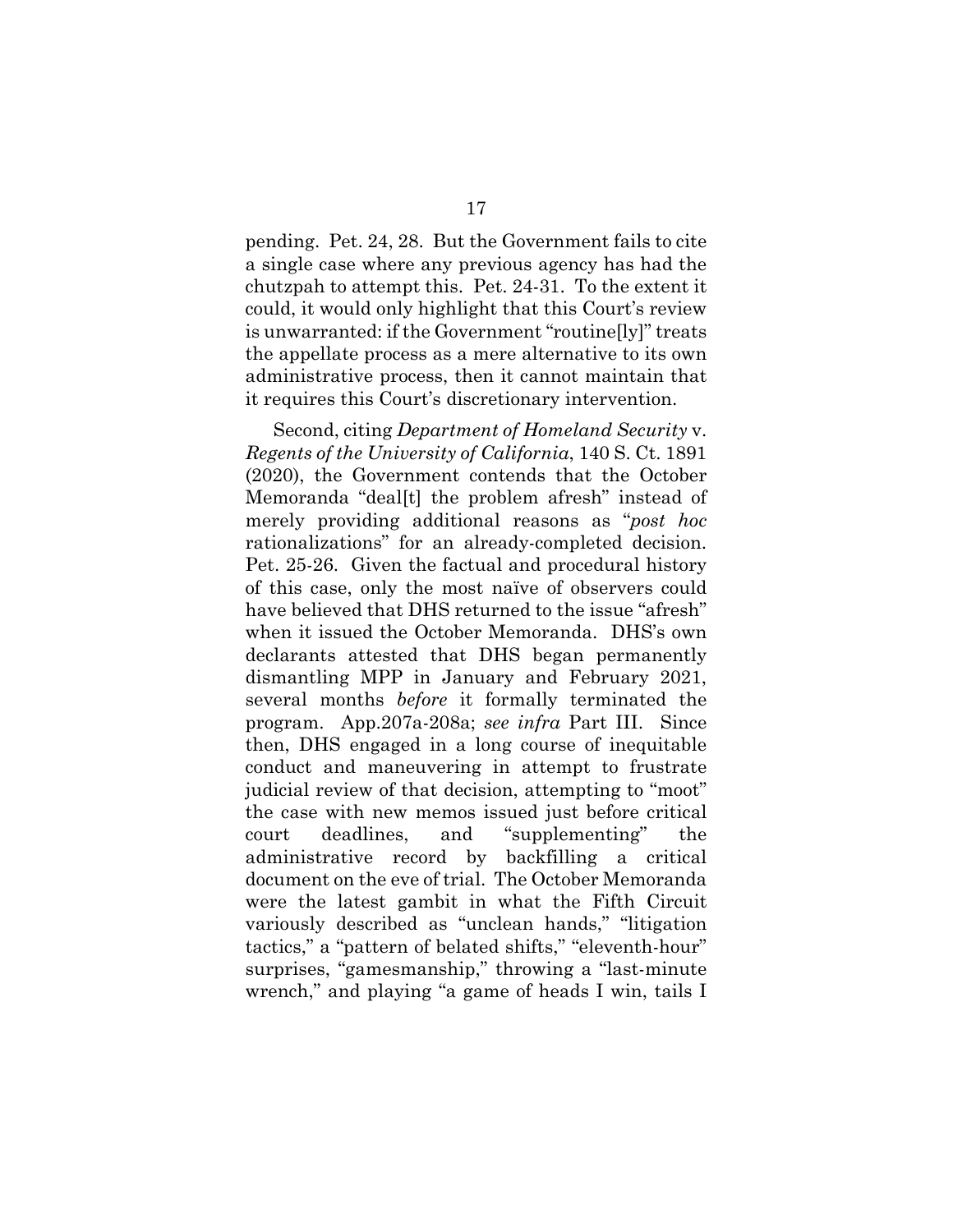pending. Pet. 24, 28. But the Government fails to cite a single case where any previous agency has had the chutzpah to attempt this. Pet. 24-31. To the extent it could, it would only highlight that this Court's review is unwarranted: if the Government "routine[ly]" treats the appellate process as a mere alternative to its own administrative process, then it cannot maintain that it requires this Court's discretionary intervention.

Second, citing *Department of Homeland Security* v. *Regents of the University of California*, 140 S. Ct. 1891 (2020), the Government contends that the October Memoranda "deal[t] the problem afresh" instead of merely providing additional reasons as "*post hoc* rationalizations" for an already-completed decision. Pet. 25-26. Given the factual and procedural history of this case, only the most naïve of observers could have believed that DHS returned to the issue "afresh" when it issued the October Memoranda. DHS's own declarants attested that DHS began permanently dismantling MPP in January and February 2021, several months *before* it formally terminated the program. App.207a-208a; *see infra* Part III. Since then, DHS engaged in a long course of inequitable conduct and maneuvering in attempt to frustrate judicial review of that decision, attempting to "moot" the case with new memos issued just before critical court deadlines, and "supplementing" the administrative record by backfilling a critical document on the eve of trial. The October Memoranda were the latest gambit in what the Fifth Circuit variously described as "unclean hands," "litigation tactics," a "pattern of belated shifts," "eleventh-hour" surprises, "gamesmanship," throwing a "last-minute wrench," and playing "a game of heads I win, tails I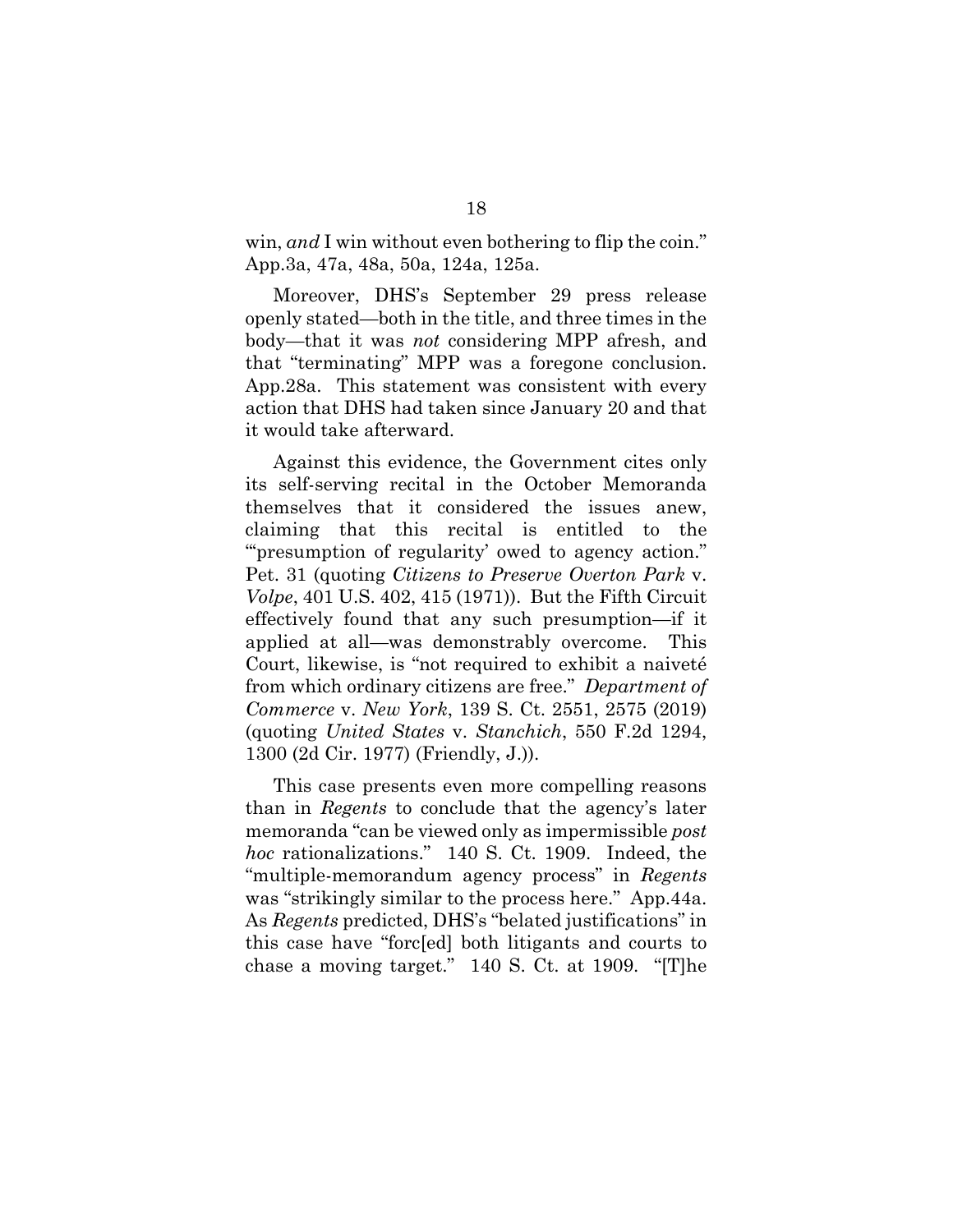win, and I win without even bothering to flip the coin." App.3a, 47a, 48a, 50a, 124a, 125a.

Moreover, DHS's September 29 press release openly stated—both in the title, and three times in the body—that it was *not* considering MPP afresh, and that "terminating" MPP was a foregone conclusion. App.28a. This statement was consistent with every action that DHS had taken since January 20 and that it would take afterward.

Against this evidence, the Government cites only its self-serving recital in the October Memoranda themselves that it considered the issues anew, claiming that this recital is entitled to the "'presumption of regularity' owed to agency action." Pet. 31 (quoting *Citizens to Preserve Overton Park* v. *Volpe*, 401 U.S. 402, 415 (1971)). But the Fifth Circuit effectively found that any such presumption—if it applied at all—was demonstrably overcome. This Court, likewise, is "not required to exhibit a naiveté from which ordinary citizens are free." *Department of Commerce* v. *New York*, 139 S. Ct. 2551, 2575 (2019) (quoting *United States* v. *Stanchich*, 550 F.2d 1294, 1300 (2d Cir. 1977) (Friendly, J.)).

This case presents even more compelling reasons than in *Regents* to conclude that the agency's later memoranda "can be viewed only as impermissible *post hoc* rationalizations." 140 S. Ct. 1909. Indeed, the "multiple-memorandum agency process" in *Regents* was "strikingly similar to the process here." App.44a. As *Regents* predicted, DHS's "belated justifications" in this case have "forc[ed] both litigants and courts to chase a moving target." 140 S. Ct. at 1909. "[T]he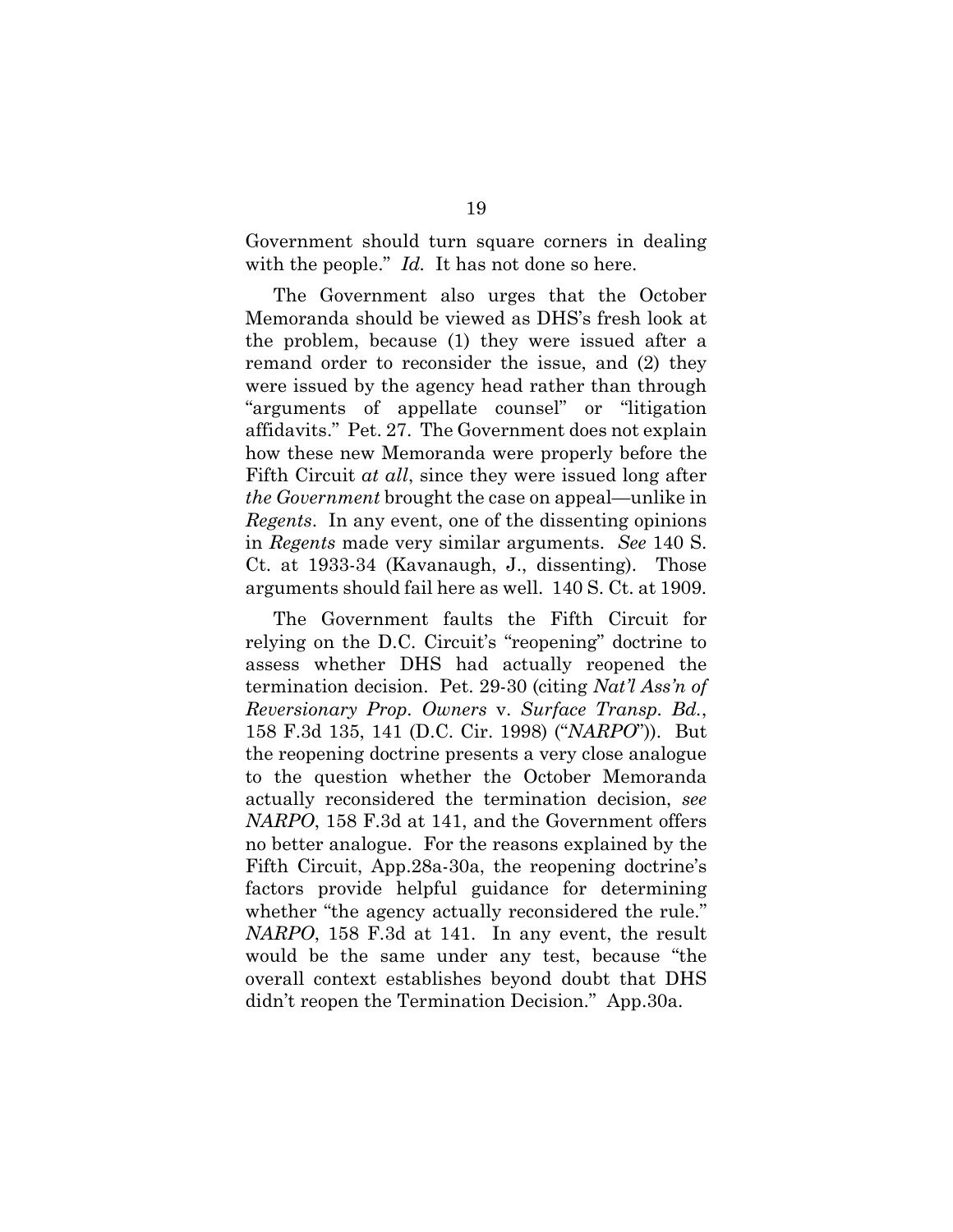Government should turn square corners in dealing with the people." *Id.* It has not done so here.

The Government also urges that the October Memoranda should be viewed as DHS's fresh look at the problem, because (1) they were issued after a remand order to reconsider the issue, and (2) they were issued by the agency head rather than through "arguments of appellate counsel" or "litigation affidavits." Pet. 27. The Government does not explain how these new Memoranda were properly before the Fifth Circuit *at all*, since they were issued long after *the Government* brought the case on appeal—unlike in *Regents*. In any event, one of the dissenting opinions in *Regents* made very similar arguments. *See* 140 S. Ct. at 1933-34 (Kavanaugh, J., dissenting). Those arguments should fail here as well. 140 S. Ct. at 1909.

The Government faults the Fifth Circuit for relying on the D.C. Circuit's "reopening" doctrine to assess whether DHS had actually reopened the termination decision. Pet. 29-30 (citing *Nat'l Ass'n of Reversionary Prop. Owners* v. *Surface Transp. Bd.*, 158 F.3d 135, 141 (D.C. Cir. 1998) ("*NARPO*")). But the reopening doctrine presents a very close analogue to the question whether the October Memoranda actually reconsidered the termination decision, *see NARPO*, 158 F.3d at 141, and the Government offers no better analogue. For the reasons explained by the Fifth Circuit, App.28a-30a, the reopening doctrine's factors provide helpful guidance for determining whether "the agency actually reconsidered the rule." *NARPO*, 158 F.3d at 141. In any event, the result would be the same under any test, because "the overall context establishes beyond doubt that DHS didn't reopen the Termination Decision." App.30a.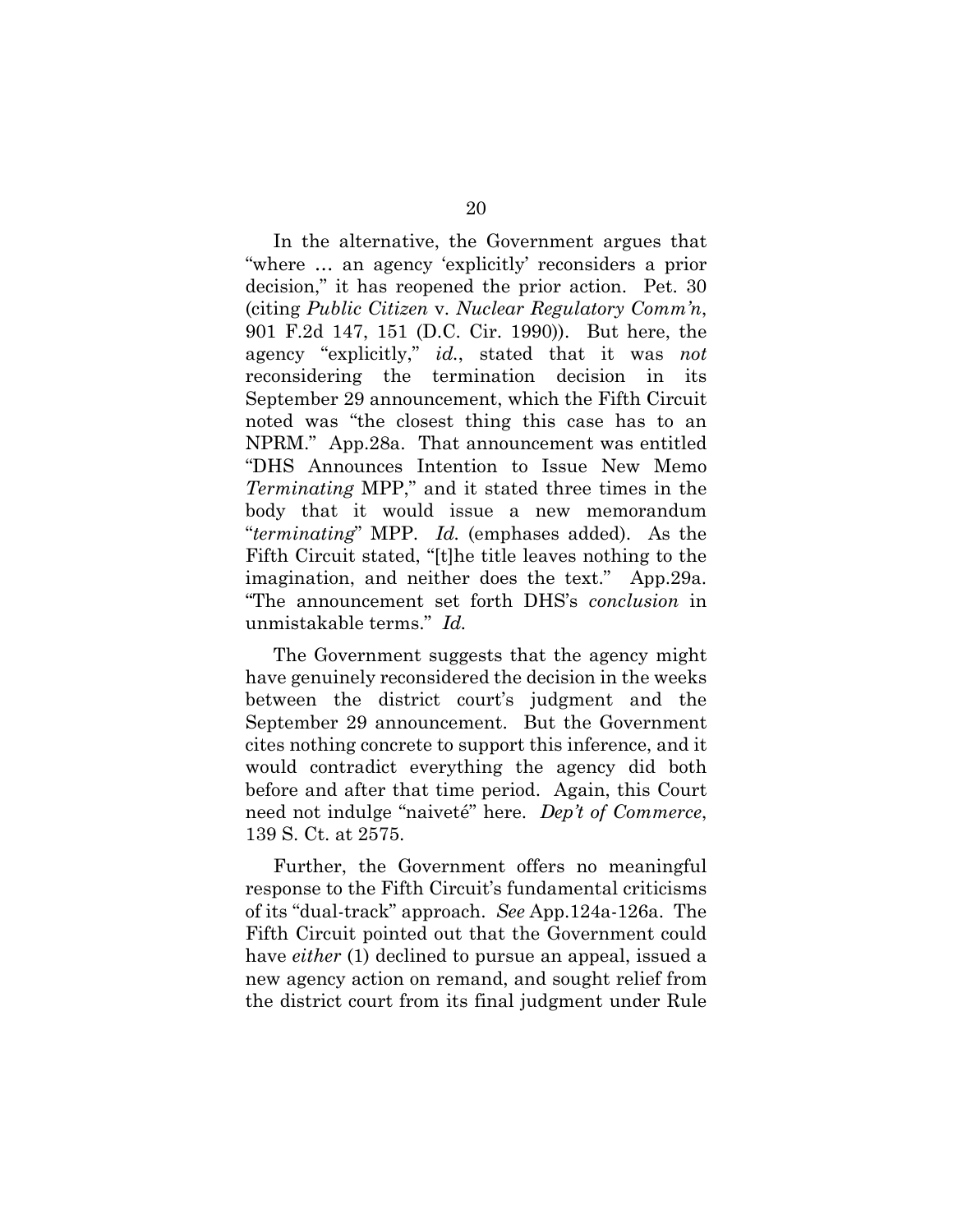In the alternative, the Government argues that "where … an agency 'explicitly' reconsiders a prior decision," it has reopened the prior action. Pet. 30 (citing *Public Citizen* v. *Nuclear Regulatory Comm'n*, 901 F.2d 147, 151 (D.C. Cir. 1990)). But here, the agency "explicitly," *id.*, stated that it was *not* reconsidering the termination decision in its September 29 announcement, which the Fifth Circuit noted was "the closest thing this case has to an NPRM." App.28a. That announcement was entitled "DHS Announces Intention to Issue New Memo *Terminating* MPP," and it stated three times in the body that it would issue a new memorandum "*terminating*" MPP. *Id.* (emphases added). As the Fifth Circuit stated, "[t]he title leaves nothing to the imagination, and neither does the text." App.29a. "The announcement set forth DHS's *conclusion* in unmistakable terms." *Id.*

The Government suggests that the agency might have genuinely reconsidered the decision in the weeks between the district court's judgment and the September 29 announcement. But the Government cites nothing concrete to support this inference, and it would contradict everything the agency did both before and after that time period. Again, this Court need not indulge "naiveté" here. *Dep't of Commerce*, 139 S. Ct. at 2575.

Further, the Government offers no meaningful response to the Fifth Circuit's fundamental criticisms of its "dual-track" approach. *See* App.124a-126a. The Fifth Circuit pointed out that the Government could have *either* (1) declined to pursue an appeal, issued a new agency action on remand, and sought relief from the district court from its final judgment under Rule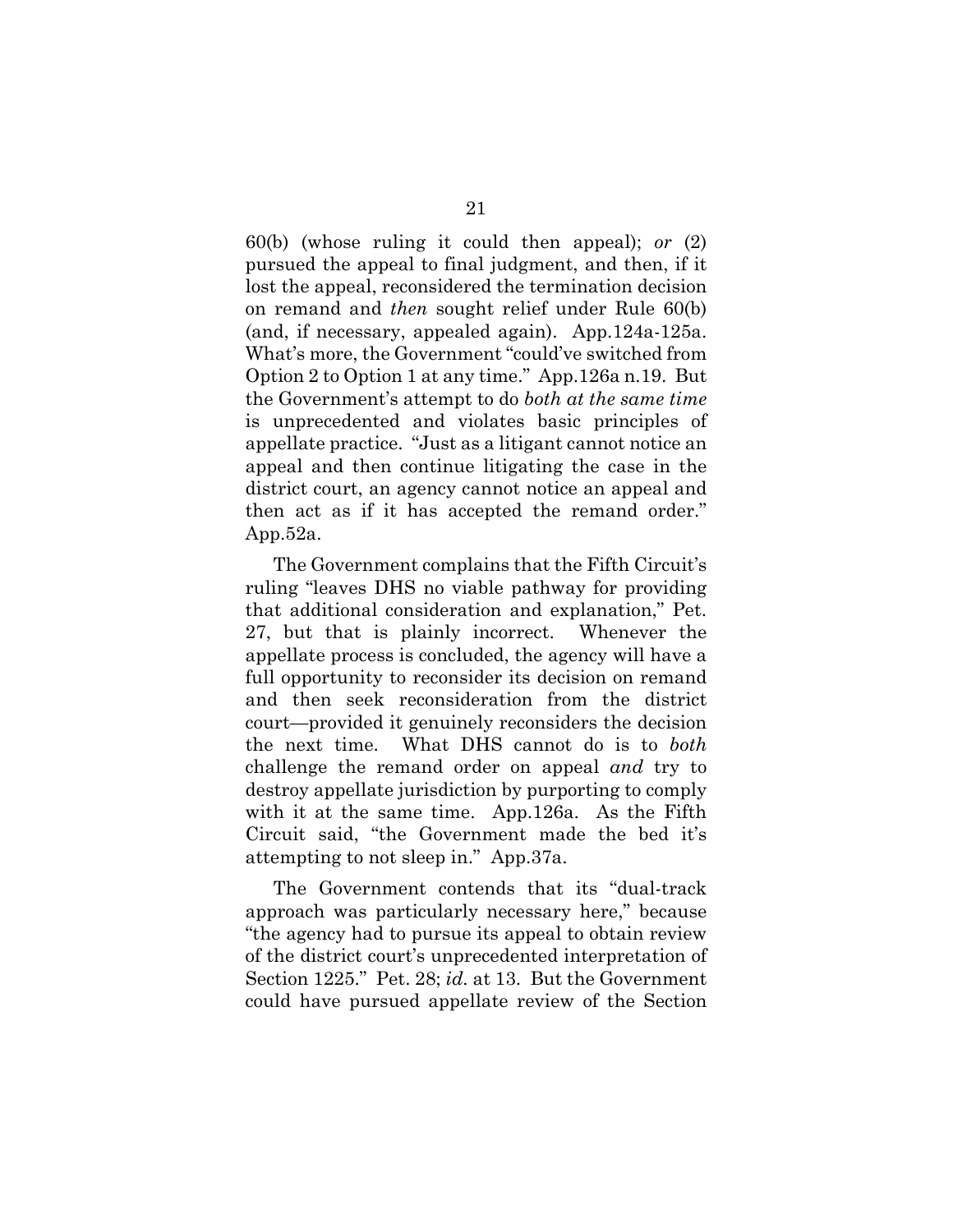60(b) (whose ruling it could then appeal); *or* (2) pursued the appeal to final judgment, and then, if it lost the appeal, reconsidered the termination decision on remand and *then* sought relief under Rule 60(b) (and, if necessary, appealed again). App.124a-125a. What's more, the Government "could've switched from Option 2 to Option 1 at any time." App.126a n.19. But the Government's attempt to do *both at the same time* is unprecedented and violates basic principles of appellate practice. "Just as a litigant cannot notice an appeal and then continue litigating the case in the district court, an agency cannot notice an appeal and then act as if it has accepted the remand order." App.52a.

The Government complains that the Fifth Circuit's ruling "leaves DHS no viable pathway for providing that additional consideration and explanation," Pet. 27, but that is plainly incorrect. Whenever the appellate process is concluded, the agency will have a full opportunity to reconsider its decision on remand and then seek reconsideration from the district court—provided it genuinely reconsiders the decision the next time. What DHS cannot do is to *both* challenge the remand order on appeal *and* try to destroy appellate jurisdiction by purporting to comply with it at the same time. App.126a. As the Fifth Circuit said, "the Government made the bed it's attempting to not sleep in." App.37a.

The Government contends that its "dual-track approach was particularly necessary here," because "the agency had to pursue its appeal to obtain review of the district court's unprecedented interpretation of Section 1225." Pet. 28; *id.* at 13. But the Government could have pursued appellate review of the Section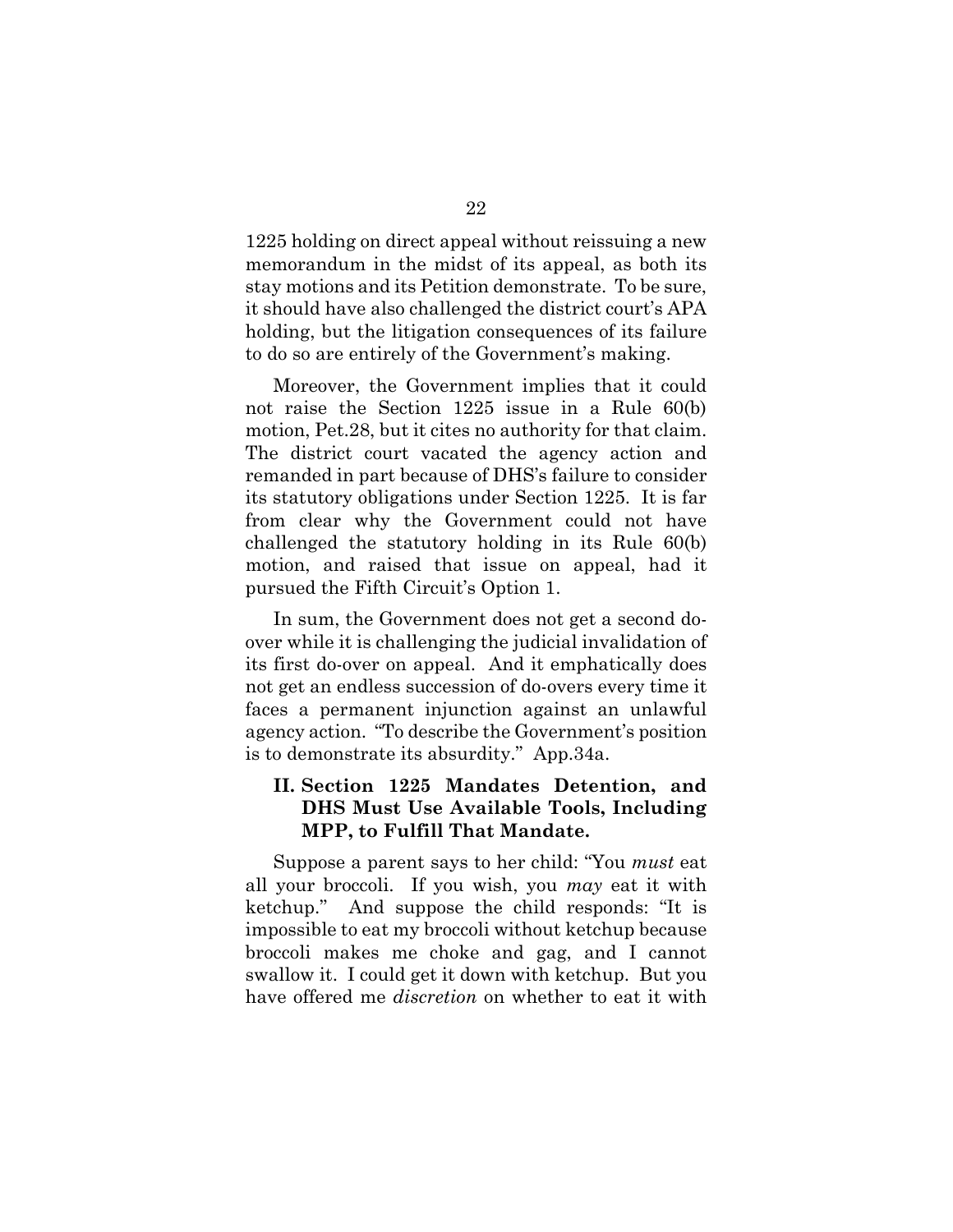1225 holding on direct appeal without reissuing a new memorandum in the midst of its appeal, as both its stay motions and its Petition demonstrate. To be sure, it should have also challenged the district court's APA holding, but the litigation consequences of its failure to do so are entirely of the Government's making.

Moreover, the Government implies that it could not raise the Section 1225 issue in a Rule 60(b) motion, Pet.28, but it cites no authority for that claim. The district court vacated the agency action and remanded in part because of DHS's failure to consider its statutory obligations under Section 1225. It is far from clear why the Government could not have challenged the statutory holding in its Rule 60(b) motion, and raised that issue on appeal, had it pursued the Fifth Circuit's Option 1.

In sum, the Government does not get a second doover while it is challenging the judicial invalidation of its first do-over on appeal. And it emphatically does not get an endless succession of do-overs every time it faces a permanent injunction against an unlawful agency action. "To describe the Government's position is to demonstrate its absurdity." App.34a.

#### **II. Section 1225 Mandates Detention, and DHS Must Use Available Tools, Including MPP, to Fulfill That Mandate.**

Suppose a parent says to her child: "You *must* eat all your broccoli. If you wish, you *may* eat it with ketchup." And suppose the child responds: "It is impossible to eat my broccoli without ketchup because broccoli makes me choke and gag, and I cannot swallow it. I could get it down with ketchup. But you have offered me *discretion* on whether to eat it with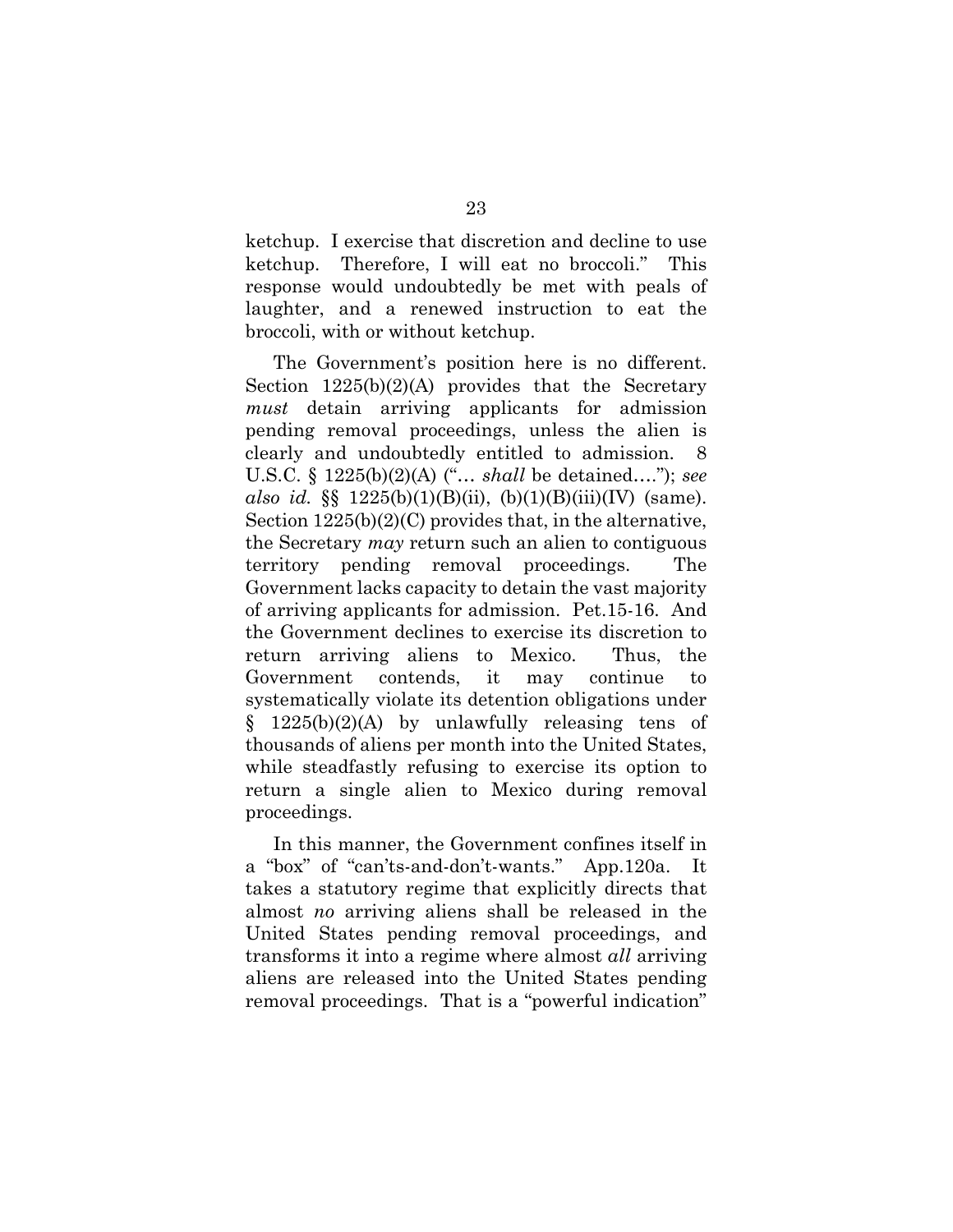ketchup. I exercise that discretion and decline to use ketchup. Therefore, I will eat no broccoli." This response would undoubtedly be met with peals of laughter, and a renewed instruction to eat the broccoli, with or without ketchup.

The Government's position here is no different. Section  $1225(b)(2)(A)$  provides that the Secretary *must* detain arriving applicants for admission pending removal proceedings, unless the alien is clearly and undoubtedly entitled to admission. 8 U.S.C. § 1225(b)(2)(A) ("… *shall* be detained…."); *see also id.* §§ 1225(b)(1)(B)(ii), (b)(1)(B)(iii)(IV) (same). Section  $1225(b)(2)(C)$  provides that, in the alternative, the Secretary *may* return such an alien to contiguous territory pending removal proceedings. The Government lacks capacity to detain the vast majority of arriving applicants for admission. Pet.15-16. And the Government declines to exercise its discretion to return arriving aliens to Mexico. Thus, the Government contends, it may continue to systematically violate its detention obligations under  $\S$  1225(b)(2)(A) by unlawfully releasing tens of thousands of aliens per month into the United States, while steadfastly refusing to exercise its option to return a single alien to Mexico during removal proceedings.

In this manner, the Government confines itself in a "box" of "can'ts-and-don't-wants." App.120a. It takes a statutory regime that explicitly directs that almost *no* arriving aliens shall be released in the United States pending removal proceedings, and transforms it into a regime where almost *all* arriving aliens are released into the United States pending removal proceedings. That is a "powerful indication"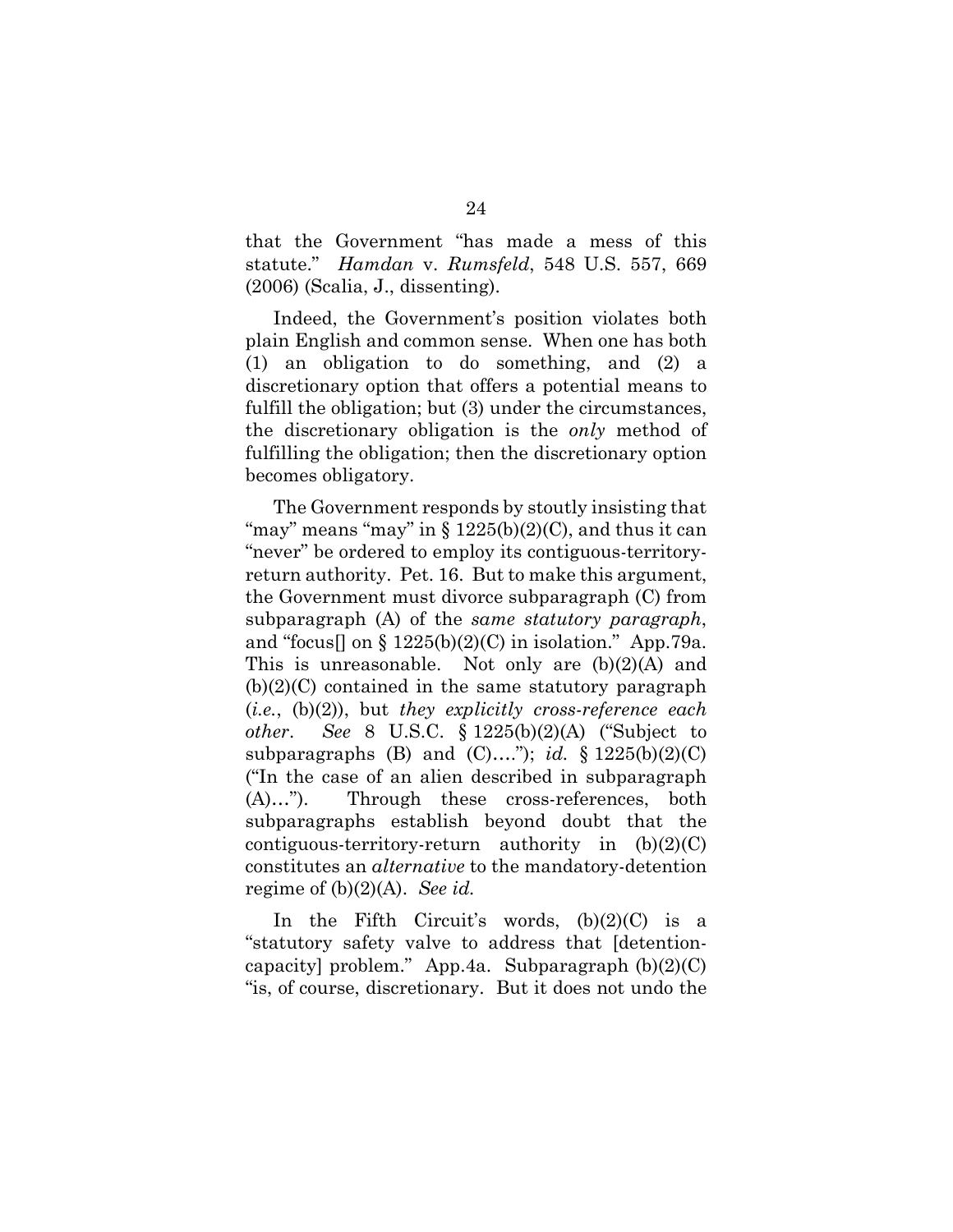that the Government "has made a mess of this statute." *Hamdan* v. *Rumsfeld*, 548 U.S. 557, 669 (2006) (Scalia, J., dissenting).

Indeed, the Government's position violates both plain English and common sense. When one has both (1) an obligation to do something, and (2) a discretionary option that offers a potential means to fulfill the obligation; but (3) under the circumstances, the discretionary obligation is the *only* method of fulfilling the obligation; then the discretionary option becomes obligatory.

The Government responds by stoutly insisting that "may" means "may" in  $\S 1225(b)(2)(C)$ , and thus it can "never" be ordered to employ its contiguous-territoryreturn authority. Pet. 16. But to make this argument, the Government must divorce subparagraph (C) from subparagraph (A) of the *same statutory paragraph*, and "focus] on  $\S 1225(b)(2)(C)$  in isolation." App.79a. This is unreasonable. Not only are (b)(2)(A) and  $(b)(2)(C)$  contained in the same statutory paragraph (*i.e.*, (b)(2)), but *they explicitly cross-reference each other*. *See* 8 U.S.C. § 1225(b)(2)(A) ("Subject to subparagraphs (B) and (C)...."); *id.* §  $1225(b)(2)(C)$ ("In the case of an alien described in subparagraph (A)…"). Through these cross-references, both subparagraphs establish beyond doubt that the contiguous-territory-return authority in  $(b)(2)(C)$ constitutes an *alternative* to the mandatory-detention regime of (b)(2)(A). *See id.*

In the Fifth Circuit's words,  $(b)(2)(C)$  is a "statutory safety valve to address that [detentioncapacity] problem." App.4a. Subparagraph  $(b)(2)(C)$ "is, of course, discretionary. But it does not undo the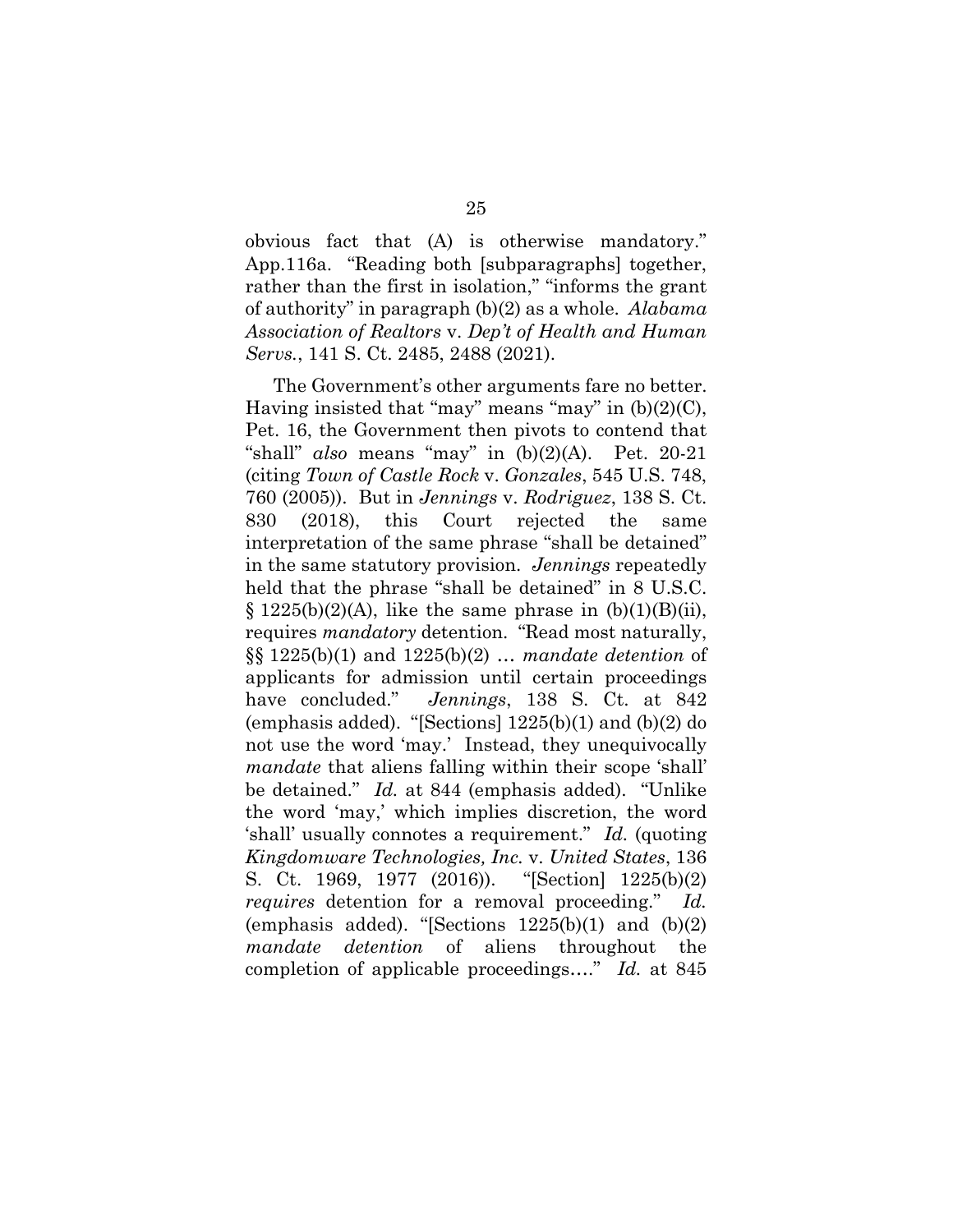obvious fact that (A) is otherwise mandatory." App.116a. "Reading both [subparagraphs] together, rather than the first in isolation," "informs the grant of authority" in paragraph (b)(2) as a whole. *Alabama Association of Realtors* v. *Dep't of Health and Human Servs.*, 141 S. Ct. 2485, 2488 (2021).

The Government's other arguments fare no better. Having insisted that "may" means "may" in  $(b)(2)(C)$ , Pet. 16, the Government then pivots to contend that "shall" *also* means "may" in (b)(2)(A). Pet. 20-21 (citing *Town of Castle Rock* v. *Gonzales*, 545 U.S. 748, 760 (2005)). But in *Jennings* v. *Rodriguez*, 138 S. Ct. 830 (2018), this Court rejected the same interpretation of the same phrase "shall be detained" in the same statutory provision. *Jennings* repeatedly held that the phrase "shall be detained" in 8 U.S.C.  $\S 1225(b)(2)(A)$ , like the same phrase in  $(b)(1)(B)(ii)$ , requires *mandatory* detention. "Read most naturally, §§ 1225(b)(1) and 1225(b)(2) … *mandate detention* of applicants for admission until certain proceedings have concluded." *Jennings*, 138 S. Ct. at 842 (emphasis added). "[Sections]  $1225(b)(1)$  and  $(b)(2)$  do not use the word 'may.' Instead, they unequivocally *mandate* that aliens falling within their scope 'shall' be detained." *Id.* at 844 (emphasis added). "Unlike the word 'may,' which implies discretion, the word 'shall' usually connotes a requirement." *Id.* (quoting *Kingdomware Technologies, Inc.* v. *United States*, 136 S. Ct. 1969, 1977 (2016)). "[Section] 1225(b)(2) *requires* detention for a removal proceeding." *Id.* (emphasis added). "[Sections  $1225(b)(1)$  and  $(b)(2)$ *mandate detention* of aliens throughout the completion of applicable proceedings…." *Id.* at 845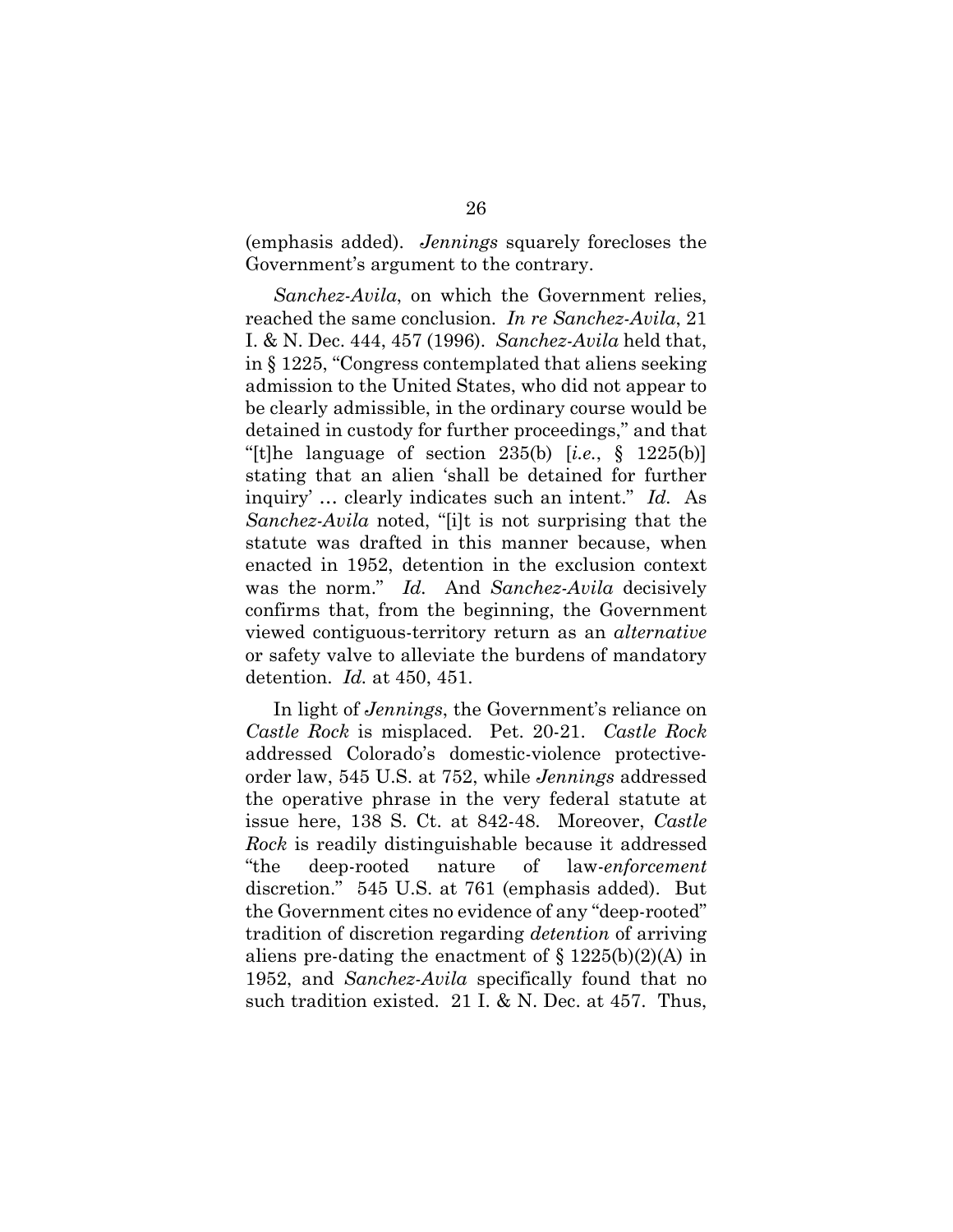(emphasis added). *Jennings* squarely forecloses the Government's argument to the contrary.

*Sanchez-Avila*, on which the Government relies, reached the same conclusion. *In re Sanchez-Avila*, 21 I. & N. Dec. 444, 457 (1996). *Sanchez-Avila* held that, in § 1225, "Congress contemplated that aliens seeking admission to the United States, who did not appear to be clearly admissible, in the ordinary course would be detained in custody for further proceedings," and that "[t]he language of section 235(b) [*i.e.*, § 1225(b)] stating that an alien 'shall be detained for further inquiry' … clearly indicates such an intent." *Id.* As *Sanchez-Avila* noted, "[i]t is not surprising that the statute was drafted in this manner because, when enacted in 1952, detention in the exclusion context was the norm." *Id.* And *Sanchez-Avila* decisively confirms that, from the beginning, the Government viewed contiguous-territory return as an *alternative* or safety valve to alleviate the burdens of mandatory detention. *Id.* at 450, 451.

In light of *Jennings*, the Government's reliance on *Castle Rock* is misplaced. Pet. 20-21. *Castle Rock* addressed Colorado's domestic-violence protectiveorder law, 545 U.S. at 752, while *Jennings* addressed the operative phrase in the very federal statute at issue here, 138 S. Ct. at 842-48. Moreover, *Castle Rock* is readily distinguishable because it addressed "the deep-rooted nature of law-*enforcement*  discretion." 545 U.S. at 761 (emphasis added). But the Government cites no evidence of any "deep-rooted" tradition of discretion regarding *detention* of arriving aliens pre-dating the enactment of  $\S 1225(b)(2)(A)$  in 1952, and *Sanchez-Avila* specifically found that no such tradition existed. 21 I. & N. Dec. at 457. Thus,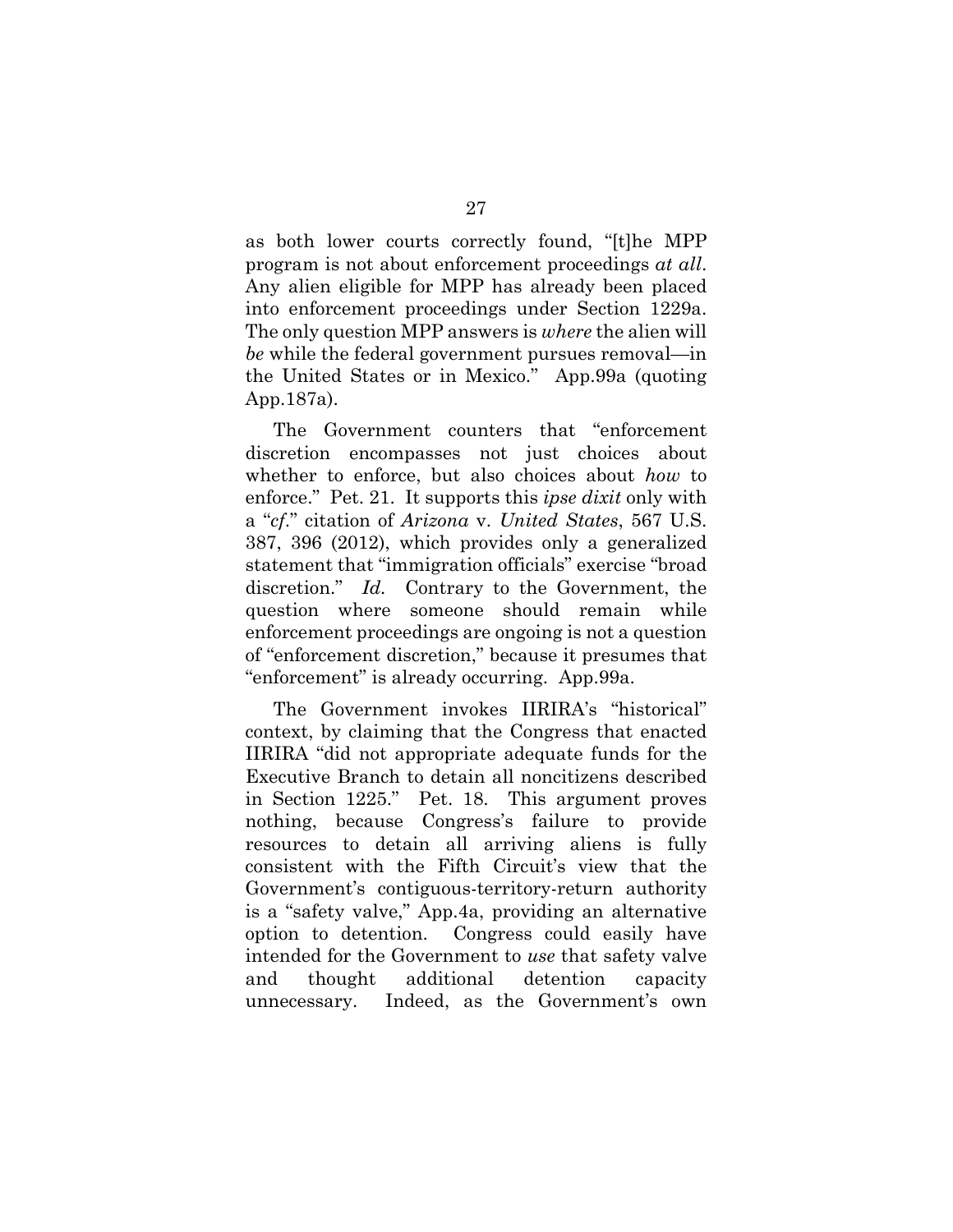as both lower courts correctly found, "[t]he MPP program is not about enforcement proceedings *at all*. Any alien eligible for MPP has already been placed into enforcement proceedings under Section 1229a. The only question MPP answers is *where* the alien will *be* while the federal government pursues removal—in the United States or in Mexico." App.99a (quoting App.187a).

The Government counters that "enforcement discretion encompasses not just choices about whether to enforce, but also choices about *how* to enforce." Pet. 21. It supports this *ipse dixit* only with a "*cf*." citation of *Arizona* v. *United States*, 567 U.S. 387, 396 (2012), which provides only a generalized statement that "immigration officials" exercise "broad discretion." *Id.* Contrary to the Government, the question where someone should remain while enforcement proceedings are ongoing is not a question of "enforcement discretion," because it presumes that "enforcement" is already occurring. App.99a.

The Government invokes IIRIRA's "historical" context, by claiming that the Congress that enacted IIRIRA "did not appropriate adequate funds for the Executive Branch to detain all noncitizens described in Section 1225." Pet. 18. This argument proves nothing, because Congress's failure to provide resources to detain all arriving aliens is fully consistent with the Fifth Circuit's view that the Government's contiguous-territory-return authority is a "safety valve," App.4a, providing an alternative option to detention. Congress could easily have intended for the Government to *use* that safety valve and thought additional detention capacity unnecessary. Indeed, as the Government's own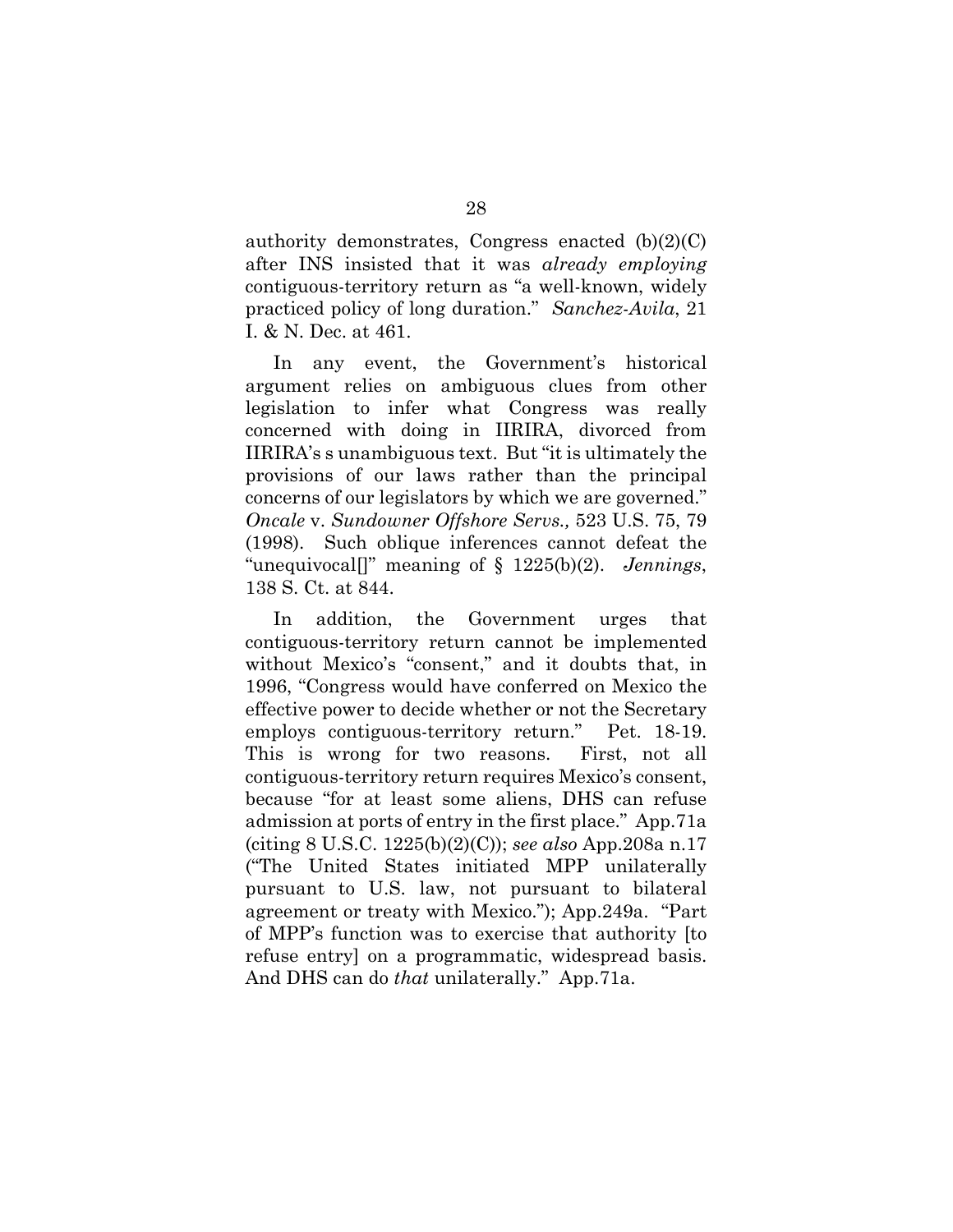authority demonstrates, Congress enacted  $(b)(2)(C)$ after INS insisted that it was *already employing* contiguous-territory return as "a well-known, widely practiced policy of long duration." *Sanchez-Avila*, 21 I. & N. Dec. at 461.

In any event, the Government's historical argument relies on ambiguous clues from other legislation to infer what Congress was really concerned with doing in IIRIRA, divorced from IIRIRA's s unambiguous text. But "it is ultimately the provisions of our laws rather than the principal concerns of our legislators by which we are governed." *Oncale* v. *Sundowner Offshore Servs.,* 523 U.S. 75, 79 (1998). Such oblique inferences cannot defeat the "unequivocal[]" meaning of § 1225(b)(2). *Jennings*, 138 S. Ct. at 844.

In addition, the Government urges that contiguous-territory return cannot be implemented without Mexico's "consent," and it doubts that, in 1996, "Congress would have conferred on Mexico the effective power to decide whether or not the Secretary employs contiguous-territory return." Pet. 18-19. This is wrong for two reasons. First, not all contiguous-territory return requires Mexico's consent, because "for at least some aliens, DHS can refuse admission at ports of entry in the first place." App.71a (citing 8 U.S.C. 1225(b)(2)(C)); *see also* App.208a n.17 ("The United States initiated MPP unilaterally pursuant to U.S. law, not pursuant to bilateral agreement or treaty with Mexico."); App.249a. "Part of MPP's function was to exercise that authority [to refuse entry] on a programmatic, widespread basis. And DHS can do *that* unilaterally." App.71a.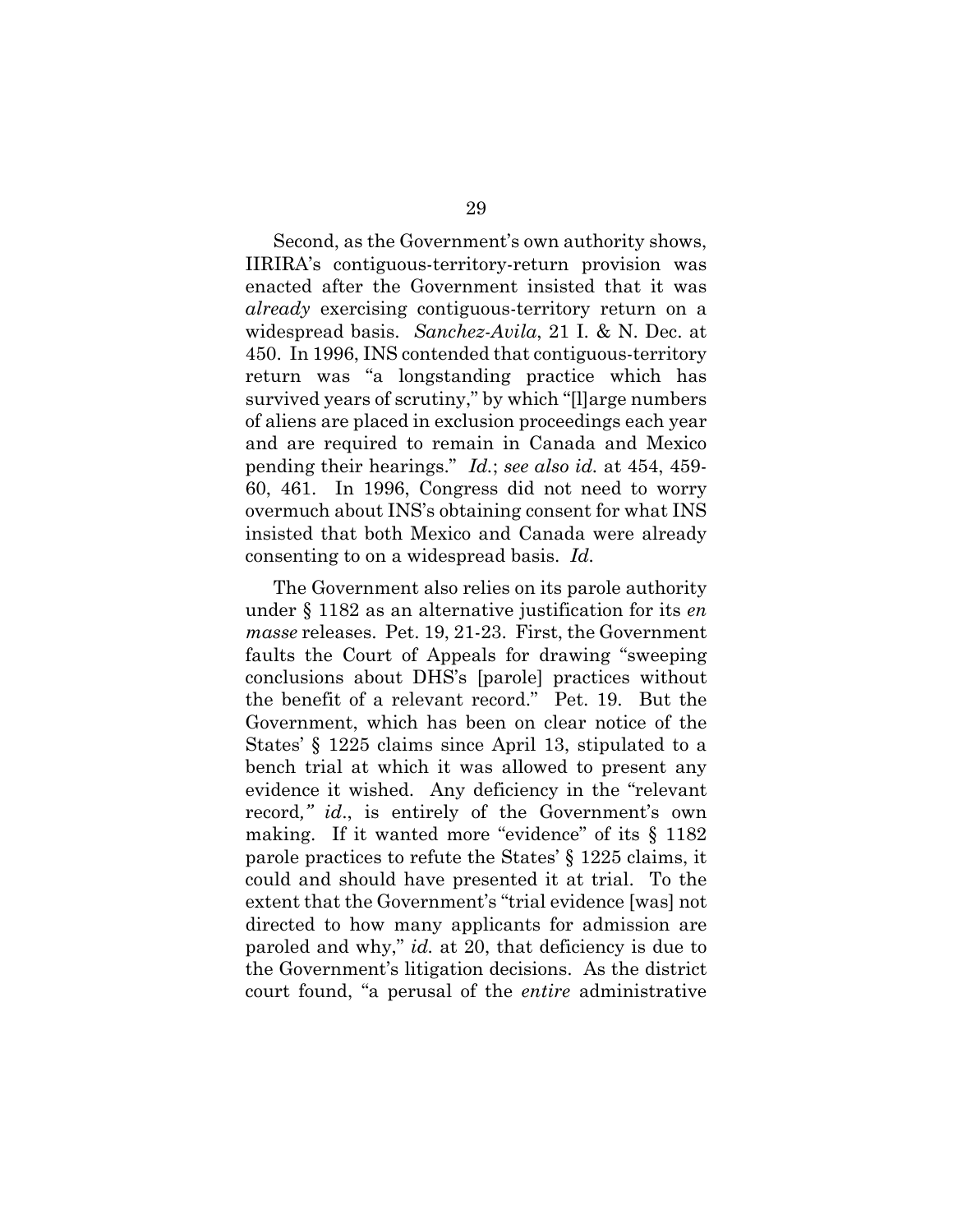Second, as the Government's own authority shows, IIRIRA's contiguous-territory-return provision was enacted after the Government insisted that it was *already* exercising contiguous-territory return on a widespread basis. *Sanchez-Avila*, 21 I. & N. Dec. at 450. In 1996, INS contended that contiguous-territory return was "a longstanding practice which has survived years of scrutiny," by which "[l]arge numbers of aliens are placed in exclusion proceedings each year and are required to remain in Canada and Mexico pending their hearings." *Id.*; *see also id.* at 454, 459- 60, 461. In 1996, Congress did not need to worry overmuch about INS's obtaining consent for what INS insisted that both Mexico and Canada were already consenting to on a widespread basis. *Id.*

The Government also relies on its parole authority under § 1182 as an alternative justification for its *en masse* releases. Pet. 19, 21-23. First, the Government faults the Court of Appeals for drawing "sweeping conclusions about DHS's [parole] practices without the benefit of a relevant record." Pet. 19. But the Government, which has been on clear notice of the States' § 1225 claims since April 13, stipulated to a bench trial at which it was allowed to present any evidence it wished. Any deficiency in the "relevant record*," id*., is entirely of the Government's own making. If it wanted more "evidence" of its  $\S$  1182 parole practices to refute the States' § 1225 claims, it could and should have presented it at trial. To the extent that the Government's "trial evidence [was] not directed to how many applicants for admission are paroled and why," *id.* at 20, that deficiency is due to the Government's litigation decisions. As the district court found, "a perusal of the *entire* administrative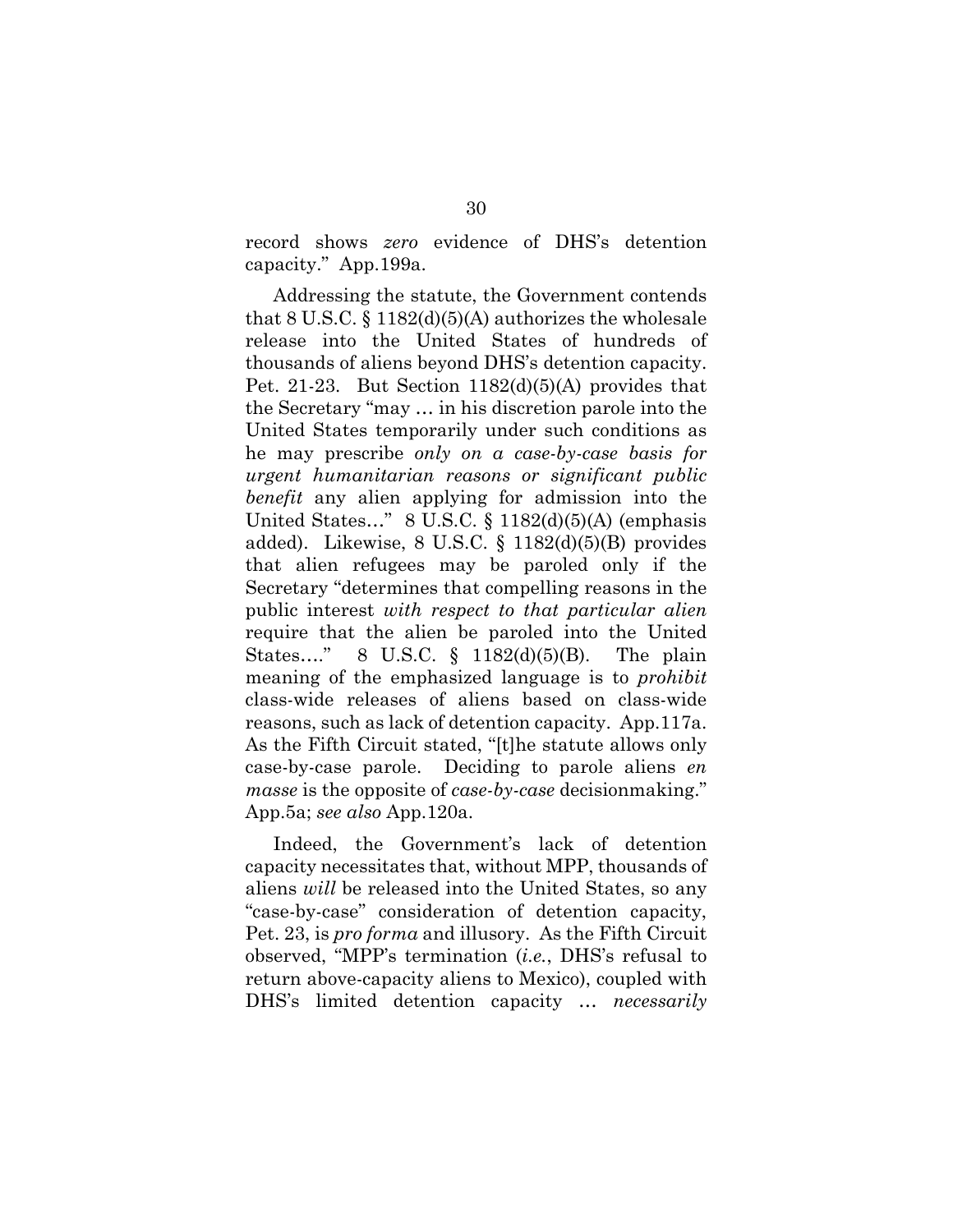record shows *zero* evidence of DHS's detention capacity." App.199a.

Addressing the statute, the Government contends that 8 U.S.C.  $\S 1182(d)(5)(A)$  authorizes the wholesale release into the United States of hundreds of thousands of aliens beyond DHS's detention capacity. Pet. 21-23. But Section 1182(d)(5)(A) provides that the Secretary "may … in his discretion parole into the United States temporarily under such conditions as he may prescribe *only on a case-by-case basis for urgent humanitarian reasons or significant public benefit* any alien applying for admission into the United States..."  $8$  U.S.C.  $\S$  1182(d)(5)(A) (emphasis added). Likewise, 8 U.S.C. § 1182(d)(5)(B) provides that alien refugees may be paroled only if the Secretary "determines that compelling reasons in the public interest *with respect to that particular alien* require that the alien be paroled into the United States…." 8 U.S.C. § 1182(d)(5)(B). The plain meaning of the emphasized language is to *prohibit* class-wide releases of aliens based on class-wide reasons, such as lack of detention capacity. App.117a. As the Fifth Circuit stated, "[t]he statute allows only case-by-case parole. Deciding to parole aliens *en masse* is the opposite of *case-by-case* decisionmaking." App.5a; *see also* App.120a.

Indeed, the Government's lack of detention capacity necessitates that, without MPP, thousands of aliens *will* be released into the United States, so any "case-by-case" consideration of detention capacity, Pet. 23, is *pro forma* and illusory. As the Fifth Circuit observed, "MPP's termination (*i.e.*, DHS's refusal to return above-capacity aliens to Mexico), coupled with DHS's limited detention capacity … *necessarily*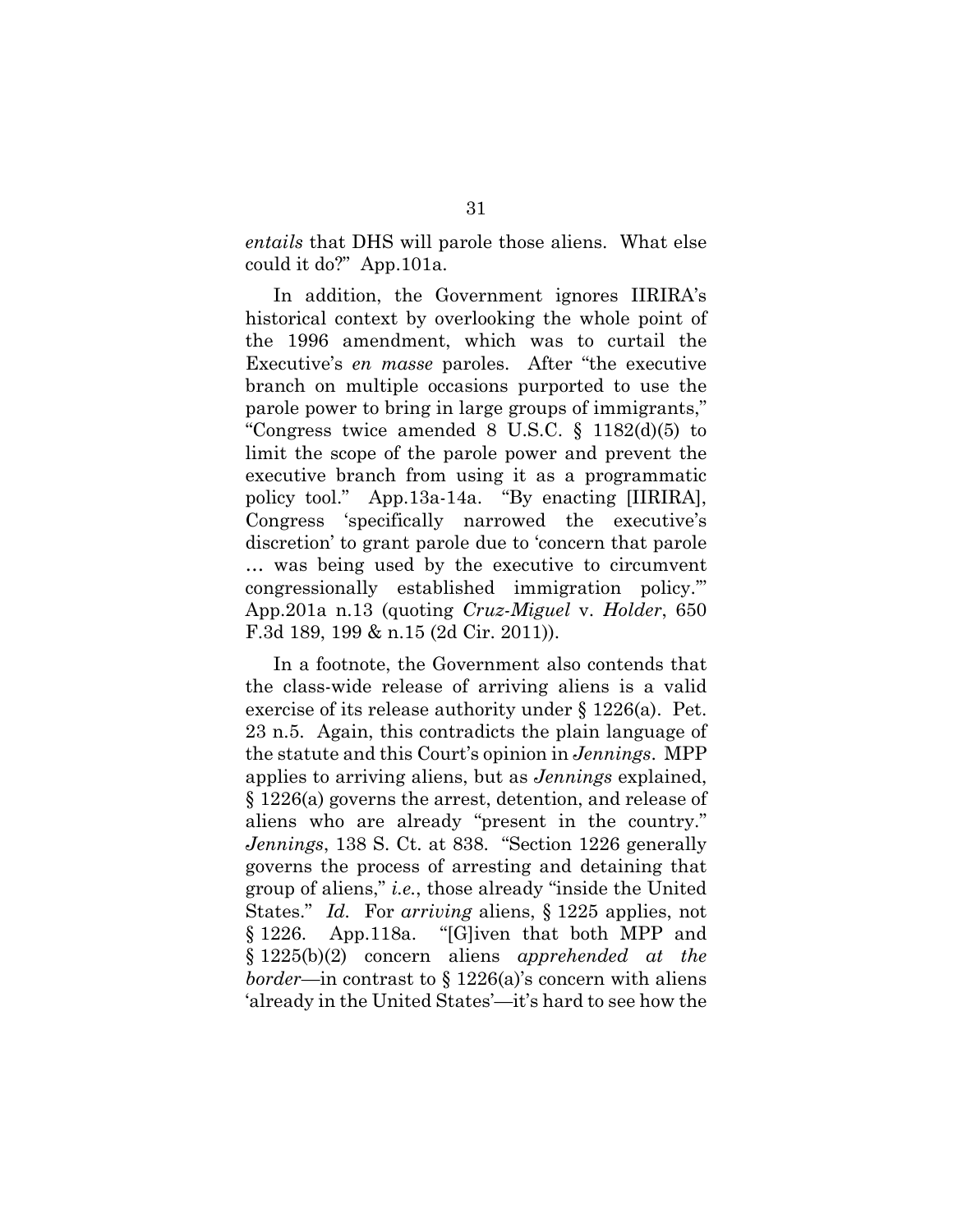*entails* that DHS will parole those aliens. What else could it do?" App.101a.

In addition, the Government ignores IIRIRA's historical context by overlooking the whole point of the 1996 amendment, which was to curtail the Executive's *en masse* paroles. After "the executive branch on multiple occasions purported to use the parole power to bring in large groups of immigrants," "Congress twice amended 8 U.S.C. § 1182(d)(5) to limit the scope of the parole power and prevent the executive branch from using it as a programmatic policy tool." App.13a-14a. "By enacting [IIRIRA], Congress 'specifically narrowed the executive's discretion' to grant parole due to 'concern that parole … was being used by the executive to circumvent congressionally established immigration policy.'" App.201a n.13 (quoting *Cruz-Miguel* v. *Holder*, 650 F.3d 189, 199 & n.15 (2d Cir. 2011)).

In a footnote, the Government also contends that the class-wide release of arriving aliens is a valid exercise of its release authority under § 1226(a). Pet. 23 n.5. Again, this contradicts the plain language of the statute and this Court's opinion in *Jennings*. MPP applies to arriving aliens, but as *Jennings* explained, § 1226(a) governs the arrest, detention, and release of aliens who are already "present in the country." *Jennings*, 138 S. Ct. at 838. "Section 1226 generally governs the process of arresting and detaining that group of aliens," *i.e.*, those already "inside the United States." *Id.* For *arriving* aliens, § 1225 applies, not § 1226. App.118a. "[G]iven that both MPP and § 1225(b)(2) concern aliens *apprehended at the border*—in contrast to § 1226(a)'s concern with aliens 'already in the United States'—it's hard to see how the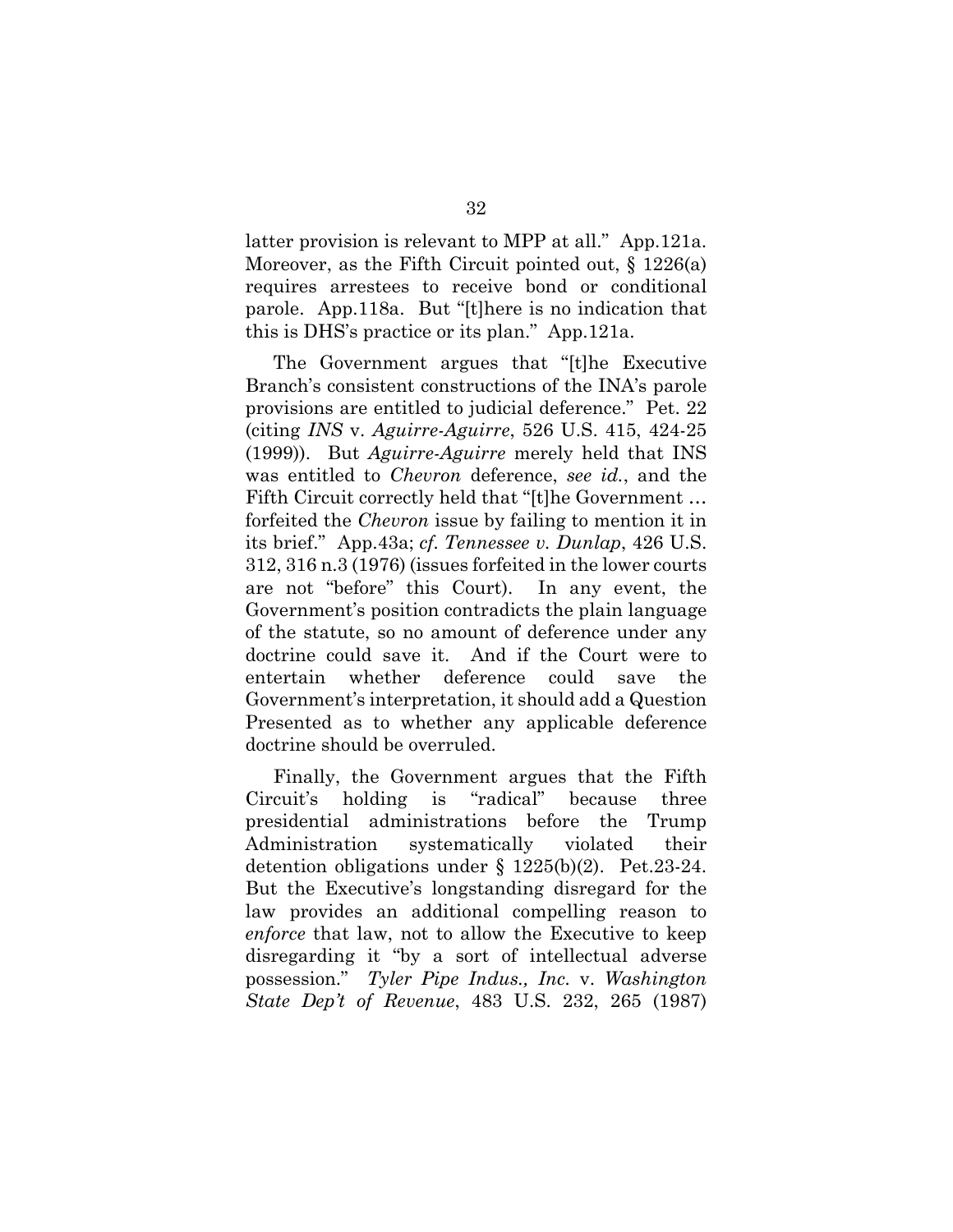latter provision is relevant to MPP at all." App.121a. Moreover, as the Fifth Circuit pointed out,  $\S$  1226(a) requires arrestees to receive bond or conditional parole. App.118a. But "[t]here is no indication that this is DHS's practice or its plan." App.121a.

The Government argues that "[t]he Executive Branch's consistent constructions of the INA's parole provisions are entitled to judicial deference." Pet. 22 (citing *INS* v. *Aguirre-Aguirre*, 526 U.S. 415, 424-25 (1999)). But *Aguirre-Aguirre* merely held that INS was entitled to *Chevron* deference, *see id.*, and the Fifth Circuit correctly held that "[t]he Government … forfeited the *Chevron* issue by failing to mention it in its brief." App.43a; *cf. Tennessee v. Dunlap*, 426 U.S. 312, 316 n.3 (1976) (issues forfeited in the lower courts are not "before" this Court). In any event, the Government's position contradicts the plain language of the statute, so no amount of deference under any doctrine could save it. And if the Court were to entertain whether deference could save the Government's interpretation, it should add a Question Presented as to whether any applicable deference doctrine should be overruled.

Finally, the Government argues that the Fifth Circuit's holding is "radical" because three presidential administrations before the Trump Administration systematically violated their detention obligations under § 1225(b)(2). Pet.23-24. But the Executive's longstanding disregard for the law provides an additional compelling reason to *enforce* that law, not to allow the Executive to keep disregarding it "by a sort of intellectual adverse possession." *Tyler Pipe Indus., Inc.* v. *Washington State Dep't of Revenue*, 483 U.S. 232, 265 (1987)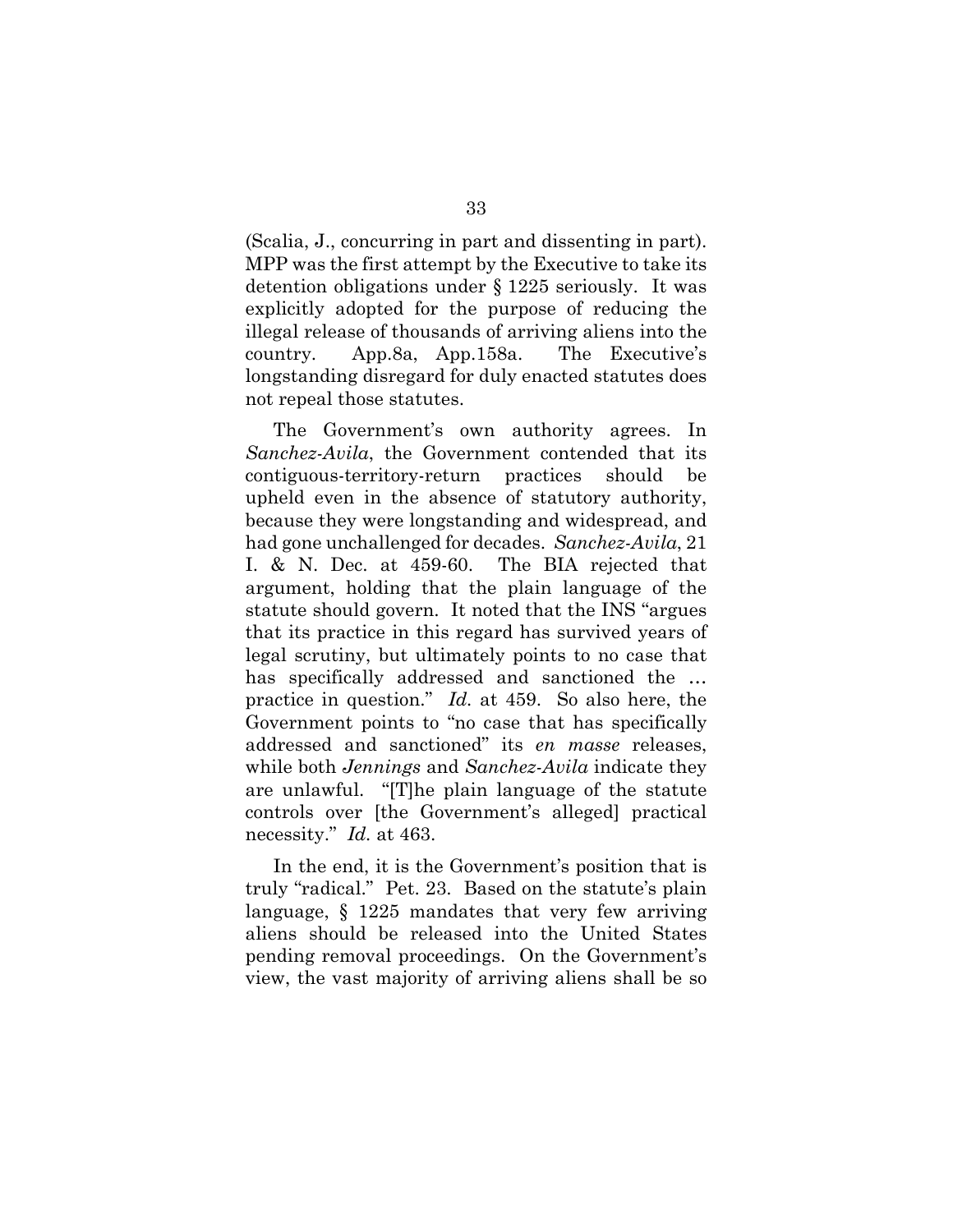(Scalia, J., concurring in part and dissenting in part). MPP was the first attempt by the Executive to take its detention obligations under § 1225 seriously. It was explicitly adopted for the purpose of reducing the illegal release of thousands of arriving aliens into the country. App.8a, App.158a. The Executive's longstanding disregard for duly enacted statutes does not repeal those statutes.

The Government's own authority agrees. In *Sanchez-Avila*, the Government contended that its contiguous-territory-return practices should be upheld even in the absence of statutory authority, because they were longstanding and widespread, and had gone unchallenged for decades. *Sanchez-Avila*, 21 I. & N. Dec. at 459-60. The BIA rejected that argument, holding that the plain language of the statute should govern. It noted that the INS "argues that its practice in this regard has survived years of legal scrutiny, but ultimately points to no case that has specifically addressed and sanctioned the … practice in question." *Id.* at 459. So also here, the Government points to "no case that has specifically addressed and sanctioned" its *en masse* releases, while both *Jennings* and *Sanchez-Avila* indicate they are unlawful. "[T]he plain language of the statute controls over [the Government's alleged] practical necessity." *Id.* at 463.

In the end, it is the Government's position that is truly "radical." Pet. 23. Based on the statute's plain language, § 1225 mandates that very few arriving aliens should be released into the United States pending removal proceedings. On the Government's view, the vast majority of arriving aliens shall be so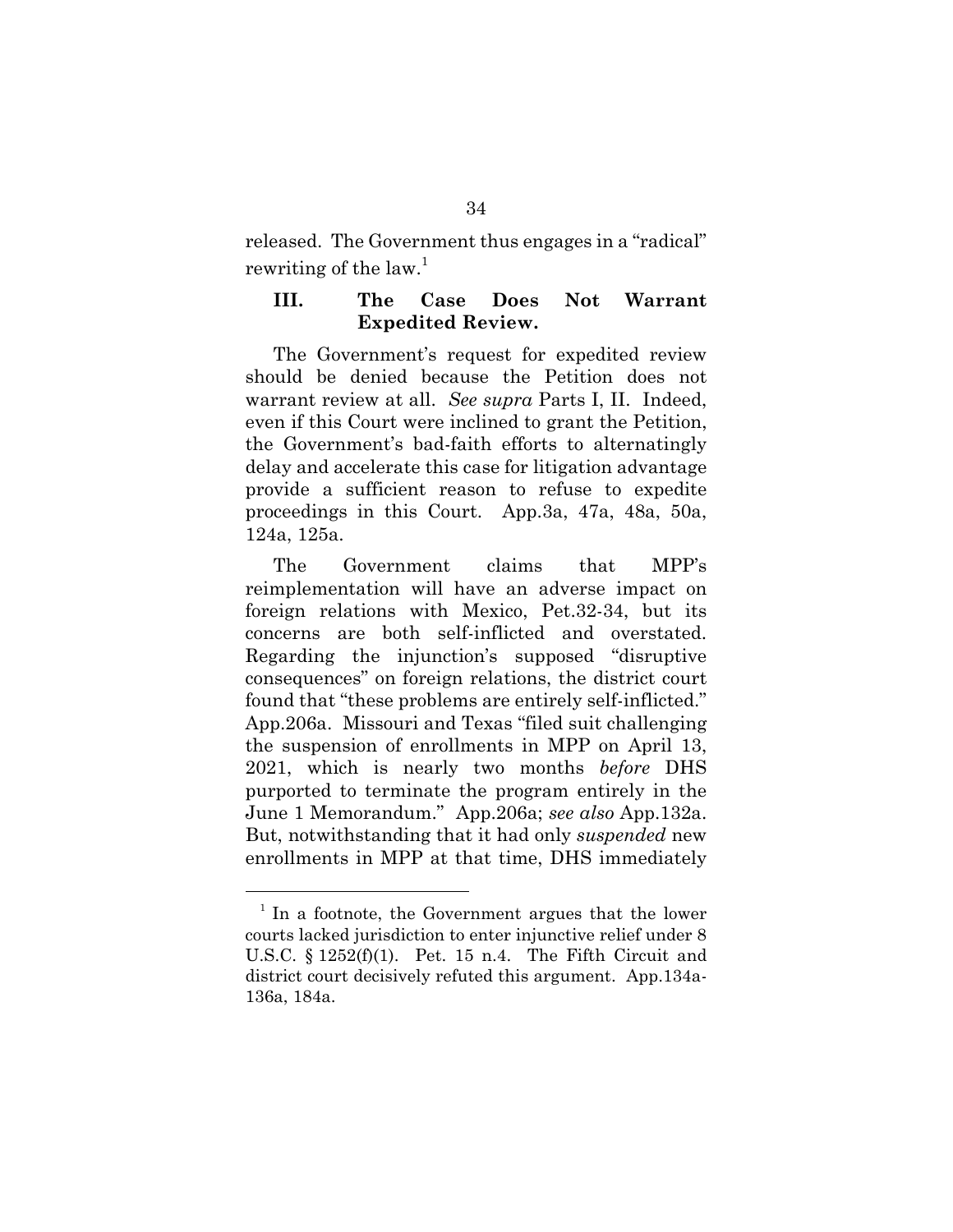released. The Government thus engages in a "radical" rewriting of the law.<sup>1</sup>

#### **III. The Case Does Not Warrant Expedited Review.**

The Government's request for expedited review should be denied because the Petition does not warrant review at all. *See supra* Parts I, II. Indeed, even if this Court were inclined to grant the Petition, the Government's bad-faith efforts to alternatingly delay and accelerate this case for litigation advantage provide a sufficient reason to refuse to expedite proceedings in this Court. App.3a, 47a, 48a, 50a, 124a, 125a.

The Government claims that MPP's reimplementation will have an adverse impact on foreign relations with Mexico, Pet.32-34, but its concerns are both self-inflicted and overstated. Regarding the injunction's supposed "disruptive consequences" on foreign relations, the district court found that "these problems are entirely self-inflicted." App.206a. Missouri and Texas "filed suit challenging the suspension of enrollments in MPP on April 13, 2021, which is nearly two months *before* DHS purported to terminate the program entirely in the June 1 Memorandum." App.206a; *see also* App.132a. But, notwithstanding that it had only *suspended* new enrollments in MPP at that time, DHS immediately

 $1$  In a footnote, the Government argues that the lower courts lacked jurisdiction to enter injunctive relief under 8 U.S.C.  $\S 1252(f)(1)$ . Pet. 15 n.4. The Fifth Circuit and district court decisively refuted this argument. App.134a-136a, 184a.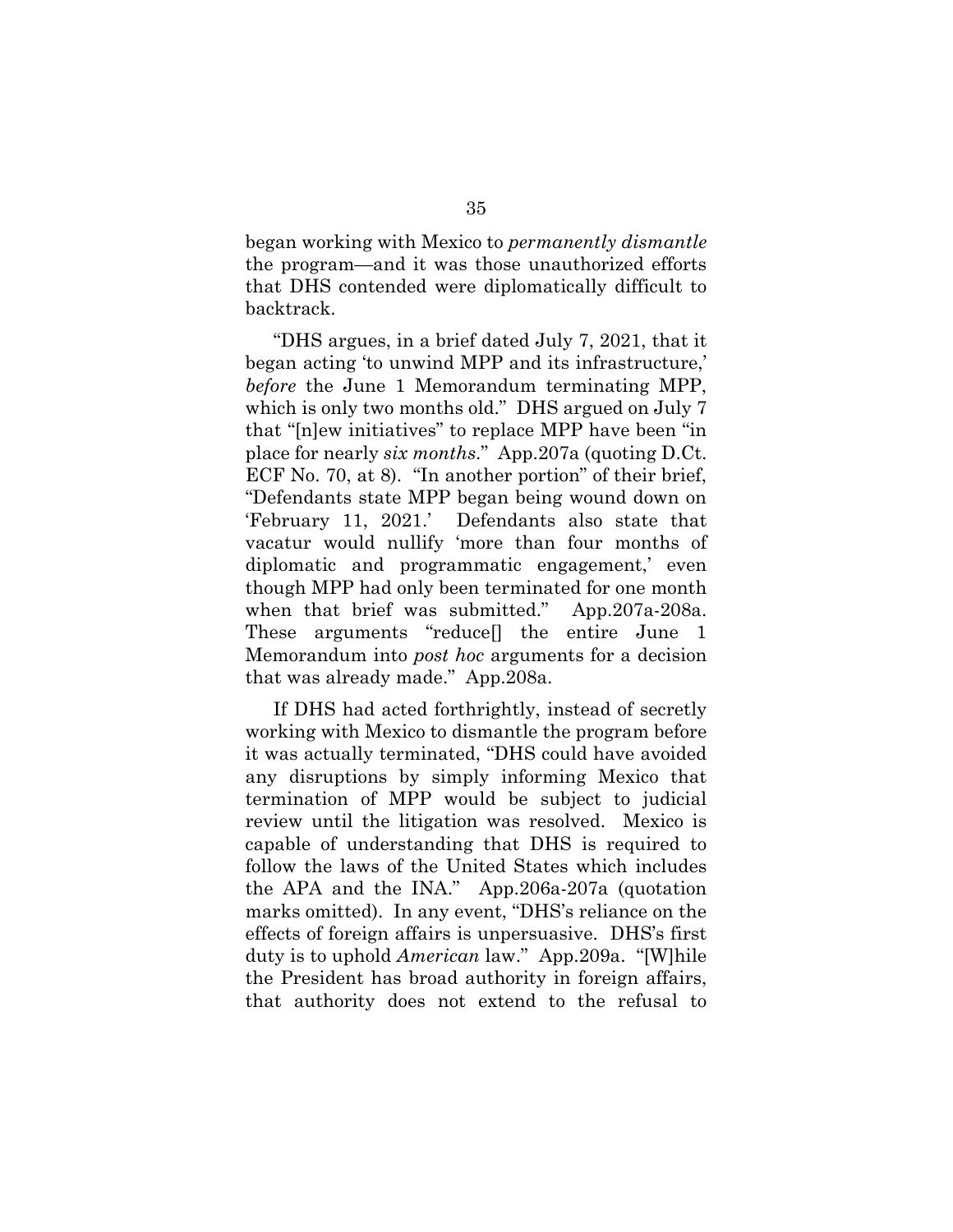began working with Mexico to *permanently dismantle* the program—and it was those unauthorized efforts that DHS contended were diplomatically difficult to backtrack.

"DHS argues, in a brief dated July 7, 2021, that it began acting 'to unwind MPP and its infrastructure,' *before* the June 1 Memorandum terminating MPP, which is only two months old." DHS argued on July 7 that "[n]ew initiatives" to replace MPP have been "in place for nearly *six months*." App.207a (quoting D.Ct. ECF No. 70, at 8). "In another portion" of their brief, "Defendants state MPP began being wound down on 'February 11, 2021.' Defendants also state that vacatur would nullify 'more than four months of diplomatic and programmatic engagement,' even though MPP had only been terminated for one month when that brief was submitted." App.207a-208a. These arguments "reduce[] the entire June 1 Memorandum into *post hoc* arguments for a decision that was already made." App.208a.

If DHS had acted forthrightly, instead of secretly working with Mexico to dismantle the program before it was actually terminated, "DHS could have avoided any disruptions by simply informing Mexico that termination of MPP would be subject to judicial review until the litigation was resolved. Mexico is capable of understanding that DHS is required to follow the laws of the United States which includes the APA and the INA." App.206a-207a (quotation marks omitted). In any event, "DHS's reliance on the effects of foreign affairs is unpersuasive. DHS's first duty is to uphold *American* law." App.209a. "[W]hile the President has broad authority in foreign affairs, that authority does not extend to the refusal to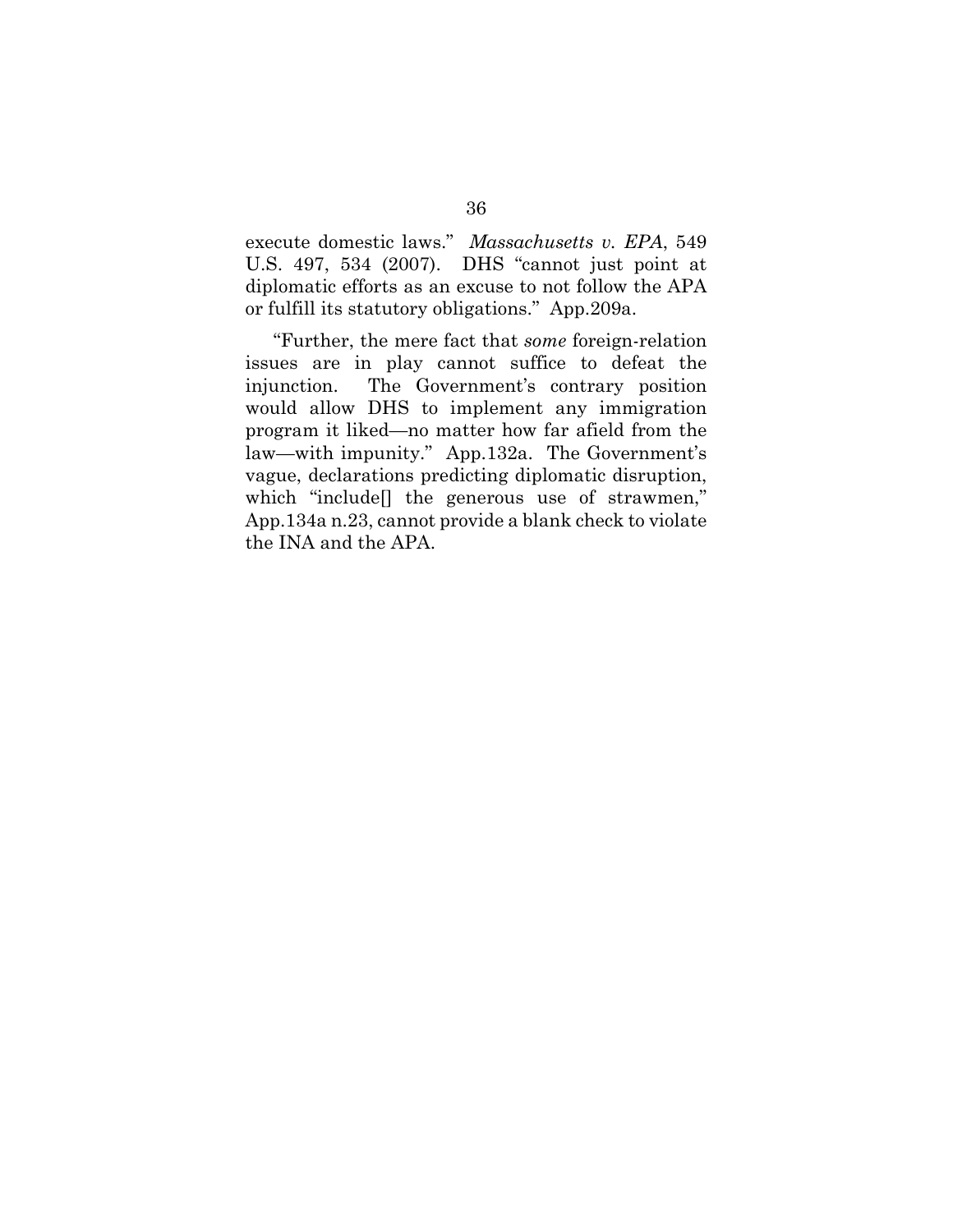execute domestic laws." *Massachusetts v. EPA*, 549 U.S. 497, 534 (2007). DHS "cannot just point at diplomatic efforts as an excuse to not follow the APA or fulfill its statutory obligations." App.209a.

"Further, the mere fact that *some* foreign-relation issues are in play cannot suffice to defeat the injunction. The Government's contrary position would allow DHS to implement any immigration program it liked—no matter how far afield from the law—with impunity." App.132a. The Government's vague, declarations predicting diplomatic disruption, which "include[] the generous use of strawmen," App.134a n.23, cannot provide a blank check to violate the INA and the APA.